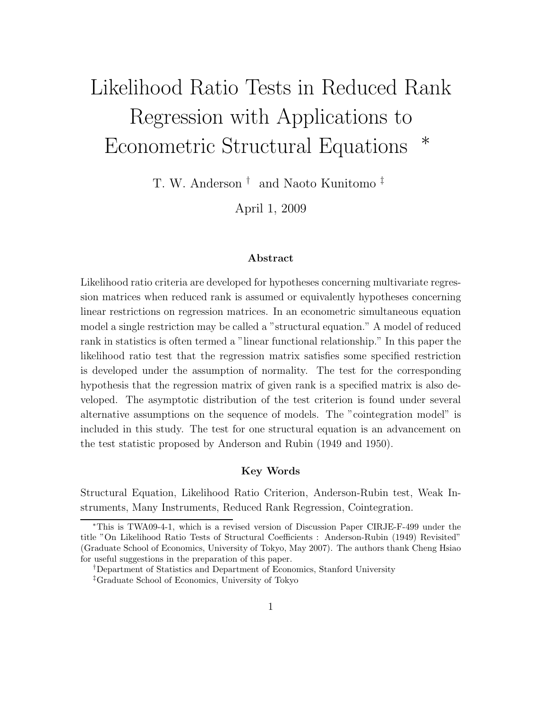# Likelihood Ratio Tests in Reduced Rank Regression with Applications to Econometric Structural Equations <sup>∗</sup>

T. W. Anderson † and Naoto Kunitomo ‡

April 1, 2009

#### **Abstract**

Likelihood ratio criteria are developed for hypotheses concerning multivariate regression matrices when reduced rank is assumed or equivalently hypotheses concerning linear restrictions on regression matrices. In an econometric simultaneous equation model a single restriction may be called a "structural equation." A model of reduced rank in statistics is often termed a "linear functional relationship." In this paper the likelihood ratio test that the regression matrix satisfies some specified restriction is developed under the assumption of normality. The test for the corresponding hypothesis that the regression matrix of given rank is a specified matrix is also developed. The asymptotic distribution of the test criterion is found under several alternative assumptions on the sequence of models. The "cointegration model" is included in this study. The test for one structural equation is an advancement on the test statistic proposed by Anderson and Rubin (1949 and 1950).

### **Key Words**

Structural Equation, Likelihood Ratio Criterion, Anderson-Rubin test, Weak Instruments, Many Instruments, Reduced Rank Regression, Cointegration.

<sup>∗</sup>This is TWA09-4-1, which is a revised version of Discussion Paper CIRJE-F-499 under the title "On Likelihood Ratio Tests of Structural Coefficients : Anderson-Rubin (1949) Revisited" (Graduate School of Economics, University of Tokyo, May 2007). The authors thank Cheng Hsiao for useful suggestions in the preparation of this paper.

<sup>†</sup>Department of Statistics and Department of Economics, Stanford University ‡Graduate School of Economics, University of Tokyo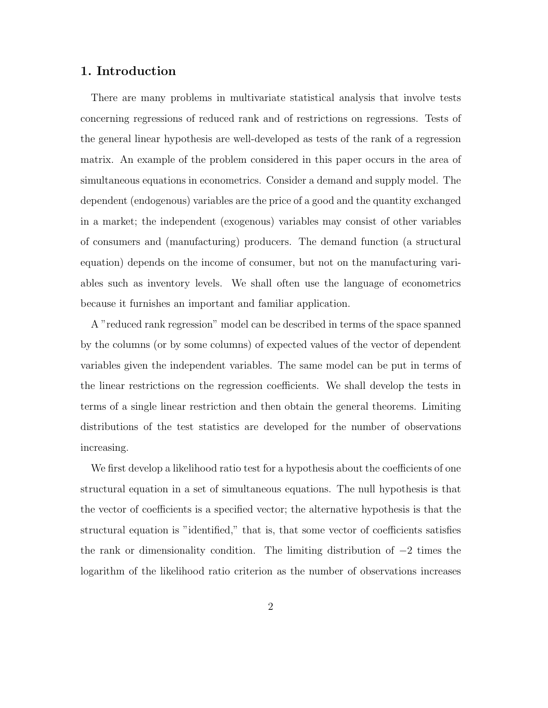# **1. Introduction**

There are many problems in multivariate statistical analysis that involve tests concerning regressions of reduced rank and of restrictions on regressions. Tests of the general linear hypothesis are well-developed as tests of the rank of a regression matrix. An example of the problem considered in this paper occurs in the area of simultaneous equations in econometrics. Consider a demand and supply model. The dependent (endogenous) variables are the price of a good and the quantity exchanged in a market; the independent (exogenous) variables may consist of other variables of consumers and (manufacturing) producers. The demand function (a structural equation) depends on the income of consumer, but not on the manufacturing variables such as inventory levels. We shall often use the language of econometrics because it furnishes an important and familiar application.

A "reduced rank regression" model can be described in terms of the space spanned by the columns (or by some columns) of expected values of the vector of dependent variables given the independent variables. The same model can be put in terms of the linear restrictions on the regression coefficients. We shall develop the tests in terms of a single linear restriction and then obtain the general theorems. Limiting distributions of the test statistics are developed for the number of observations increasing.

We first develop a likelihood ratio test for a hypothesis about the coefficients of one structural equation in a set of simultaneous equations. The null hypothesis is that the vector of coefficients is a specified vector; the alternative hypothesis is that the structural equation is "identified," that is, that some vector of coefficients satisfies the rank or dimensionality condition. The limiting distribution of −2 times the logarithm of the likelihood ratio criterion as the number of observations increases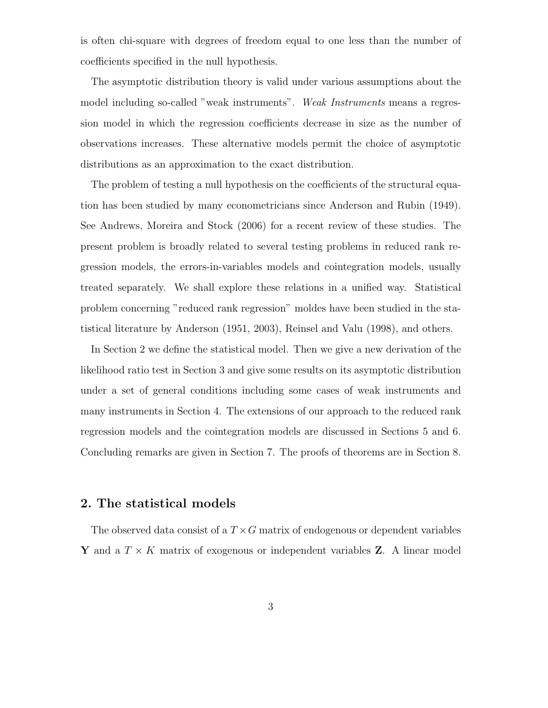is often chi-square with degrees of freedom equal to one less than the number of coefficients specified in the null hypothesis.

The asymptotic distribution theory is valid under various assumptions about the model including so-called "weak instruments". *Weak Instruments* means a regression model in which the regression coefficients decrease in size as the number of observations increases. These alternative models permit the choice of asymptotic distributions as an approximation to the exact distribution.

The problem of testing a null hypothesis on the coefficients of the structural equation has been studied by many econometricians since Anderson and Rubin (1949). See Andrews, Moreira and Stock (2006) for a recent review of these studies. The present problem is broadly related to several testing problems in reduced rank regression models, the errors-in-variables models and cointegration models, usually treated separately. We shall explore these relations in a unified way. Statistical problem concerning "reduced rank regression" moldes have been studied in the statistical literature by Anderson (1951, 2003), Reinsel and Valu (1998), and others.

In Section 2 we define the statistical model. Then we give a new derivation of the likelihood ratio test in Section 3 and give some results on its asymptotic distribution under a set of general conditions including some cases of weak instruments and many instruments in Section 4. The extensions of our approach to the reduced rank regression models and the cointegration models are discussed in Sections 5 and 6. Concluding remarks are given in Section 7. The proofs of theorems are in Section 8.

# **2. The statistical models**

The observed data consist of a  $T \times G$  matrix of endogenous or dependent variables **Y** and a  $T \times K$  matrix of exogenous or independent variables **Z**. A linear model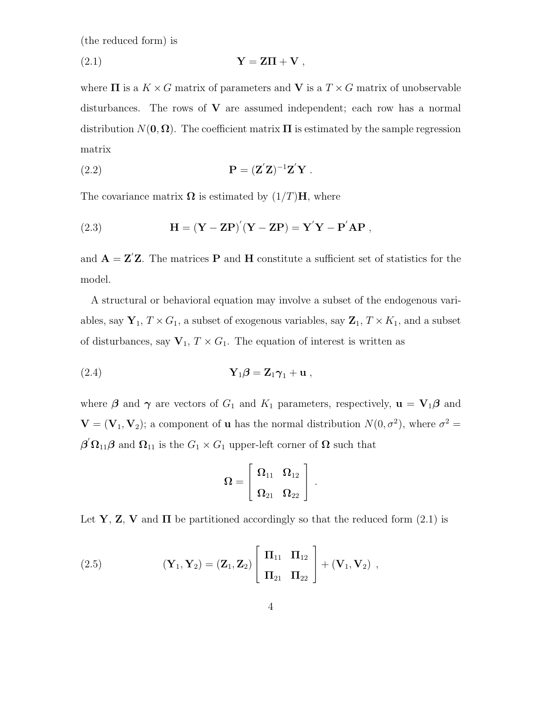(the reduced form) is

$$
Y = Z\Pi + V ,
$$

where  $\Pi$  is a  $K \times G$  matrix of parameters and **V** is a  $T \times G$  matrix of unobservable disturbances. The rows of **V** are assumed independent; each row has a normal distribution  $N(\mathbf{0}, \mathbf{\Omega})$ . The coefficient matrix  $\Pi$  is estimated by the sample regression matrix

**P** = (**Z**-**Z**) −1 **Z**-(2.2) **Y** .

The covariance matrix  $\Omega$  is estimated by  $(1/T)H$ , where

(2.3) 
$$
H = (Y - ZP)'(Y - ZP) = Y'Y - P'AP,
$$

and  $\mathbf{A} = \mathbf{Z}'\mathbf{Z}$ . The matrices **P** and **H** constitute a sufficient set of statistics for the model.

A structural or behavioral equation may involve a subset of the endogenous variables, say  $\mathbf{Y}_1, T \times G_1$ , a subset of exogenous variables, say  $\mathbf{Z}_1, T \times K_1$ , and a subset of disturbances, say  $\mathbf{V}_1, T \times G_1$ . The equation of interest is written as

$$
\mathbf{Y}_1 \boldsymbol{\beta} = \mathbf{Z}_1 \boldsymbol{\gamma}_1 + \mathbf{u} \;,
$$

where  $\beta$  and  $\gamma$  are vectors of  $G_1$  and  $K_1$  parameters, respectively,  $\mathbf{u} = \mathbf{V}_1 \boldsymbol{\beta}$  and **; a component of <b>u** has the normal distribution  $N(0, \sigma^2)$ , where  $\sigma^2 =$  $\beta' \Omega_{11} \beta$  and  $\Omega_{11}$  is the  $G_1 \times G_1$  upper-left corner of  $\Omega$  such that

$$
\boldsymbol{\Omega} = \left[ \begin{array}{cc} \boldsymbol{\Omega}_{11} & \boldsymbol{\Omega}_{12} \\[0.8ex] \boldsymbol{\Omega}_{21} & \boldsymbol{\Omega}_{22} \end{array} \right]~.
$$

Let **Y**, **Z**, **V** and  $\Pi$  be partitioned accordingly so that the reduced form (2.1) is

(2.5) 
$$
(\mathbf{Y}_1, \mathbf{Y}_2) = (\mathbf{Z}_1, \mathbf{Z}_2) \begin{bmatrix} \Pi_{11} & \Pi_{12} \\ \Pi_{21} & \Pi_{22} \end{bmatrix} + (\mathbf{V}_1, \mathbf{V}_2) ,
$$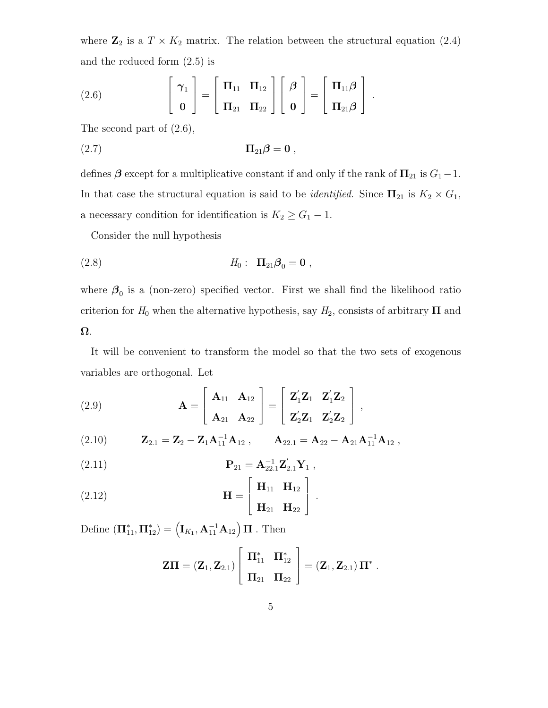where  $\mathbb{Z}_2$  is a  $T \times K_2$  matrix. The relation between the structural equation (2.4) and the reduced form (2.5) is

(2.6) 
$$
\begin{bmatrix} \gamma_1 \\ \mathbf{0} \end{bmatrix} = \begin{bmatrix} \Pi_{11} & \Pi_{12} \\ \Pi_{21} & \Pi_{22} \end{bmatrix} \begin{bmatrix} \beta \\ \mathbf{0} \end{bmatrix} = \begin{bmatrix} \Pi_{11}\beta \\ \Pi_{21}\beta \end{bmatrix}.
$$

The second part of (2.6),

$$
(2.7) \t\t \Pi_{21}\boldsymbol{\beta} = \mathbf{0} ,
$$

defines  $\beta$  except for a multiplicative constant if and only if the rank of  $\Pi_{21}$  is  $G_1-1$ . In that case the structural equation is said to be *identified*. Since  $\Pi_{21}$  is  $K_2 \times G_1$ , a necessary condition for identification is  $K_2 \geq G_1 - 1$ .

Consider the null hypothesis

(2.8) 
$$
H_0: \Pi_{21}\beta_0 = 0
$$
,

where  $\beta_0$  is a (non-zero) specified vector. First we shall find the likelihood ratio criterion for  $H_0$  when the alternative hypothesis, say  $H_2$ , consists of arbitrary **Π** and **Ω**.

It will be convenient to transform the model so that the two sets of exogenous variables are orthogonal. Let

(2.9) 
$$
\mathbf{A} = \begin{bmatrix} \mathbf{A}_{11} & \mathbf{A}_{12} \\ \mathbf{A}_{21} & \mathbf{A}_{22} \end{bmatrix} = \begin{bmatrix} \mathbf{Z}'_1 \mathbf{Z}_1 & \mathbf{Z}'_1 \mathbf{Z}_2 \\ \mathbf{Z}'_2 \mathbf{Z}_1 & \mathbf{Z}'_2 \mathbf{Z}_2 \end{bmatrix},
$$

 $\mathbf{Z}_{2.1} = \mathbf{Z}_2 - \mathbf{Z}_1 \mathbf{A}_{11}^{-1} \mathbf{A}_{12} , \qquad \mathbf{A}_{22.1} = \mathbf{A}_{22} - \mathbf{A}_{21} \mathbf{A}_{11}^{-1} \mathbf{A}_{12} ,$ 

(2.11) 
$$
\mathbf{P}_{21} = \mathbf{A}_{22.1}^{-1} \mathbf{Z}_{2.1}' \mathbf{Y}_1,
$$

(2.12) 
$$
\mathbf{H} = \begin{bmatrix} \mathbf{H}_{11} & \mathbf{H}_{12} \\ \mathbf{H}_{21} & \mathbf{H}_{22} \end{bmatrix}.
$$

Define  $(\mathbf{\Pi}_{11}^*, \mathbf{\Pi}_{12}^*) = (\mathbf{I}_{K_1}, \mathbf{A}_{11}^{-1} \mathbf{A}_{12}) \mathbf{\Pi}$ . Then

$$
Z\Pi = (Z_1, Z_{2.1}) \left[ \begin{array}{cc} \Pi_{11}^* & \Pi_{12}^* \\ \Pi_{21} & \Pi_{22} \end{array} \right] = (Z_1, Z_{2.1}) \Pi^*.
$$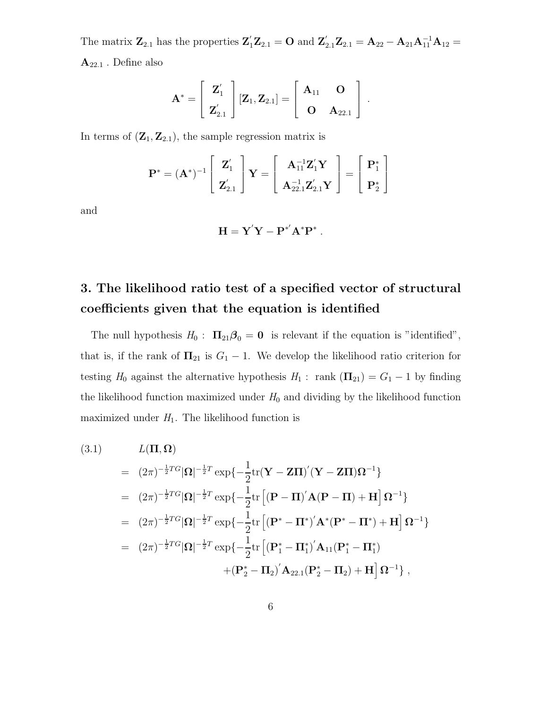The matrix  $\mathbf{Z}_{2.1}$  has the properties  $\mathbf{Z}_1' \mathbf{Z}_{2.1} = \mathbf{O}$  and  $\mathbf{Z}_{2.1}' \mathbf{Z}_{2.1} = \mathbf{A}_{22} - \mathbf{A}_{21} \mathbf{A}_{11}^{-1} \mathbf{A}_{12} =$ **A**22.<sup>1</sup> . Define also

$$
\mathbf{A}^* = \begin{bmatrix} \mathbf{Z}'_1 \\ \mathbf{Z}'_{2.1} \end{bmatrix} [\mathbf{Z}_1, \mathbf{Z}_{2.1}] = \begin{bmatrix} \mathbf{A}_{11} & \mathbf{O} \\ \mathbf{O} & \mathbf{A}_{22.1} \end{bmatrix}.
$$

In terms of  $(\mathbf{Z}_1, \mathbf{Z}_{2.1})$ , the sample regression matrix is

$$
\mathbf{P}^* = (\mathbf{A}^*)^{-1} \begin{bmatrix} \mathbf{Z}_1' \\ \mathbf{Z}_{2.1}' \end{bmatrix} \mathbf{Y} = \begin{bmatrix} \mathbf{A}_{11}^{-1} \mathbf{Z}_1' \mathbf{Y} \\ \mathbf{A}_{22.1}^{-1} \mathbf{Z}_{2.1}' \mathbf{Y} \end{bmatrix} = \begin{bmatrix} \mathbf{P}_1^* \\ \mathbf{P}_2^* \end{bmatrix}
$$

and

$$
\mathbf{H} = \mathbf{Y}'\mathbf{Y} - \mathbf{P}^{*'}\mathbf{A}^*\mathbf{P}^*.
$$

# **3. The likelihood ratio test of a specified vector of structural coefficients given that the equation is identified**

The null hypothesis  $H_0: \Pi_{21}\beta_0 = 0$  is relevant if the equation is "identified", that is, if the rank of  $\Pi_{21}$  is  $G_1 - 1$ . We develop the likelihood ratio criterion for testing  $H_0$  against the alternative hypothesis  $H_1$ : rank  $(\mathbf{\Pi}_{21}) = G_1 - 1$  by finding the likelihood function maximized under  $H_0$  and dividing by the likelihood function maximized under  $H_1$ . The likelihood function is

(3.1) 
$$
L(\Pi, \Omega) = (2\pi)^{-\frac{1}{2}TG} |\Omega|^{-\frac{1}{2}T} \exp\{-\frac{1}{2}\text{tr}(\mathbf{Y} - \mathbf{Z}\Pi)'(\mathbf{Y} - \mathbf{Z}\Pi)\Omega^{-1}\}
$$
  
\n
$$
= (2\pi)^{-\frac{1}{2}TG} |\Omega|^{-\frac{1}{2}T} \exp\{-\frac{1}{2}\text{tr}\left[(\mathbf{P} - \Pi)'\mathbf{A}(\mathbf{P} - \Pi) + \mathbf{H}\right]\Omega^{-1}\}
$$
  
\n
$$
= (2\pi)^{-\frac{1}{2}TG} |\Omega|^{-\frac{1}{2}T} \exp\{-\frac{1}{2}\text{tr}\left[(\mathbf{P}^* - \Pi^*)'\mathbf{A}^*(\mathbf{P}^* - \Pi^*) + \mathbf{H}\right]\Omega^{-1}\}
$$
  
\n
$$
= (2\pi)^{-\frac{1}{2}TG} |\Omega|^{-\frac{1}{2}T} \exp\{-\frac{1}{2}\text{tr}\left[(\mathbf{P}_1^* - \Pi_1^*)'\mathbf{A}_{11}(\mathbf{P}_1^* - \Pi_1^*)\right.\mathbf{A}_{12}(\mathbf{P}_2^* - \Pi_2) + \mathbf{H}\right]\Omega^{-1}\},
$$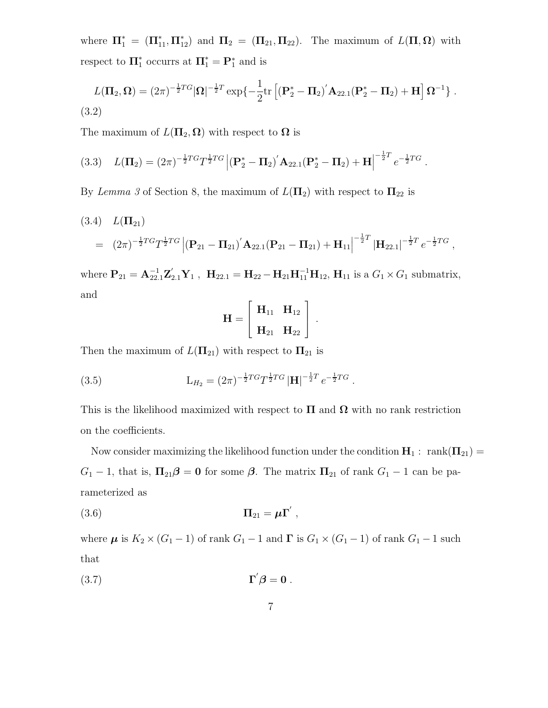where  $\Pi_1^* = (\Pi_{11}^*, \Pi_{12}^*)$  and  $\Pi_2 = (\Pi_{21}, \Pi_{22})$ . The maximum of  $L(\Pi, \Omega)$  with respect to  $\Pi_1^*$  occurrs at  $\Pi_1^* = \mathbf{P}_1^*$  and is

$$
L(\Pi_2, \Omega) = (2\pi)^{-\frac{1}{2}T G} |\Omega|^{-\frac{1}{2}T} \exp\{-\frac{1}{2} \text{tr}\left[ (\mathbf{P}_2^* - \Pi_2)' \mathbf{A}_{22.1} (\mathbf{P}_2^* - \Pi_2) + \mathbf{H} \right] \Omega^{-1} \}.
$$
\n(3.2)

The maximum of  $L(\Pi_2, \Omega)$  with respect to  $\Omega$  is

$$
(3.3) \quad L(\Pi_2) = (2\pi)^{-\frac{1}{2}TG} T^{\frac{1}{2}TG} \left| (\mathbf{P}_2^* - \Pi_2)' \mathbf{A}_{22.1} (\mathbf{P}_2^* - \Pi_2) + \mathbf{H} \right|^{-\frac{1}{2}T} e^{-\frac{1}{2}TG}.
$$

By *Lemma 3* of Section 8, the maximum of  $L(\Pi_2)$  with respect to  $\Pi_{22}$  is

(3.4) 
$$
L(\Pi_{21})
$$
  
=  $(2\pi)^{-\frac{1}{2}TG}T^{\frac{1}{2}TG}\left|(\mathbf{P}_{21}-\Pi_{21})^{'}\mathbf{A}_{22.1}(\mathbf{P}_{21}-\Pi_{21})+\mathbf{H}_{11}\right|^{-\frac{1}{2}T}\left|\mathbf{H}_{22.1}\right|^{-\frac{1}{2}T}e^{-\frac{1}{2}TG},$ 

where  $P_{21} = A_{22.1}^{-1} Z'_{2.1} Y_1$ ,  $H_{22.1} = H_{22} - H_{21} H_{11}^{-1} H_{12}$ ,  $H_{11}$  is a  $G_1 \times G_1$  submatrix, and

$$
\mathbf{H} = \left[ \begin{array}{cc} \mathbf{H}_{11} & \mathbf{H}_{12} \\ \mathbf{H}_{21} & \mathbf{H}_{22} \end{array} \right] \, .
$$

Then the maximum of  $L(\mathbf{\Pi}_{21})$  with respect to  $\mathbf{\Pi}_{21}$  is

(3.5) 
$$
L_{H_2} = (2\pi)^{-\frac{1}{2}TG} T^{\frac{1}{2}TG} |H|^{-\frac{1}{2}T} e^{-\frac{1}{2}TG}.
$$

This is the likelihood maximized with respect to  $\Pi$  and  $\Omega$  with no rank restriction on the coefficients.

Now consider maximizing the likelihood function under the condition  $\mathbf{H}_1$  : rank $(\mathbf{\Pi}_{21})$  =  $G_1 - 1$ , that is,  $\Pi_{21}\beta = 0$  for some  $\beta$ . The matrix  $\Pi_{21}$  of rank  $G_1 - 1$  can be parameterized as

$$
(3.6) \t\t \t\t \mathbf{\Pi}_{21} = \boldsymbol{\mu} \mathbf{\Gamma}' ,
$$

where  $\mu$  is  $K_2 \times (G_1 - 1)$  of rank  $G_1 - 1$  and  $\Gamma$  is  $G_1 \times (G_1 - 1)$  of rank  $G_1 - 1$  such that

$$
\Gamma' \boldsymbol{\beta} = \mathbf{0} \ .
$$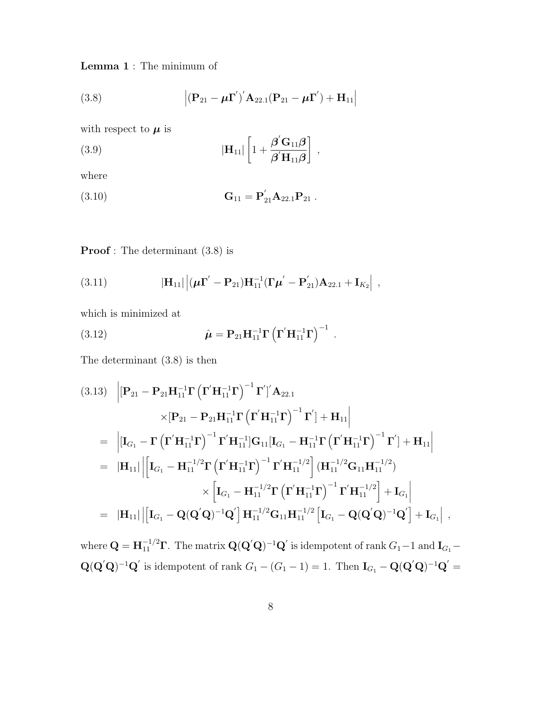**Lemma 1** : The minimum of

(3.8) 
$$
\left| (\mathbf{P}_{21} - \boldsymbol{\mu} \mathbf{\Gamma}')' \mathbf{A}_{22.1} (\mathbf{P}_{21} - \boldsymbol{\mu} \mathbf{\Gamma}') + \mathbf{H}_{11} \right|
$$

with respect to  $\mu$  is

(3.9) 
$$
|\mathbf{H}_{11}| \left[ 1 + \frac{\boldsymbol{\beta}' \mathbf{G}_{11} \boldsymbol{\beta}}{\boldsymbol{\beta}' \mathbf{H}_{11} \boldsymbol{\beta}} \right],
$$

where

(3.10) 
$$
\mathbf{G}_{11} = \mathbf{P}_{21}^{\prime} \mathbf{A}_{22.1} \mathbf{P}_{21} .
$$

**Proof**: The determinant  $(3.8)$  is

(3.11) 
$$
|\mathbf{H}_{11}| \left| (\boldsymbol{\mu} \boldsymbol{\Gamma}' - \mathbf{P}_{21}) \mathbf{H}_{11}^{-1} (\boldsymbol{\Gamma} \boldsymbol{\mu}' - \mathbf{P}_{21}') \mathbf{A}_{22.1} + \mathbf{I}_{K_2} \right| ,
$$

which is minimized at

(3.12) 
$$
\hat{\mu} = P_{21} H_{11}^{-1} \Gamma \left( \Gamma' H_{11}^{-1} \Gamma \right)^{-1} .
$$

The determinant (3.8) is then

$$
(3.13) \begin{aligned}\n&\left| \left[ \mathbf{P}_{21} - \mathbf{P}_{21} \mathbf{H}_{11}^{-1} \mathbf{\Gamma} \left( \mathbf{\Gamma}^{\prime} \mathbf{H}_{11}^{-1} \mathbf{\Gamma} \right)^{-1} \mathbf{\Gamma}^{\prime} \right]^{'} \mathbf{A}_{22.1} \right. \\
&\times \left[ \mathbf{P}_{21} - \mathbf{P}_{21} \mathbf{H}_{11}^{-1} \mathbf{\Gamma} \left( \mathbf{\Gamma}^{\prime} \mathbf{H}_{11}^{-1} \mathbf{\Gamma} \right)^{-1} \mathbf{\Gamma}^{\prime} \right] + \mathbf{H}_{11} \right] \\
&= \begin{vmatrix}\n\left[ \mathbf{I}_{G_1} - \mathbf{\Gamma} \left( \mathbf{\Gamma}^{\prime} \mathbf{H}_{11}^{-1} \mathbf{\Gamma} \right)^{-1} \mathbf{\Gamma}^{\prime} \mathbf{H}_{11}^{-1} \right] \mathbf{G}_{11} \left[ \mathbf{I}_{G_1} - \mathbf{H}_{11}^{-1} \mathbf{\Gamma} \left( \mathbf{\Gamma}^{\prime} \mathbf{H}_{11}^{-1} \mathbf{\Gamma} \right)^{-1} \mathbf{\Gamma}^{\prime} \right] + \mathbf{H}_{11} \right] \\
&= \|\mathbf{H}_{11} \| \left[ \mathbf{I}_{G_1} - \mathbf{H}_{11}^{-1/2} \mathbf{\Gamma} \left( \mathbf{\Gamma}^{\prime} \mathbf{H}_{11}^{-1} \mathbf{\Gamma} \right)^{-1} \mathbf{\Gamma}^{\prime} \mathbf{H}_{11}^{-1/2} \right] \left( \mathbf{H}_{11}^{-1/2} \mathbf{G}_{11} \mathbf{H}_{11}^{-1/2} \right) \\
&\times \left[ \mathbf{I}_{G_1} - \mathbf{H}_{11}^{-1/2} \mathbf{\Gamma} \left( \mathbf{\Gamma}^{\prime} \mathbf{H}_{11}^{-1} \mathbf{\Gamma} \right)^{-1} \mathbf{\Gamma}^{\prime} \mathbf{H}_{11}^{-1/2} \right] + \mathbf{I}_{G_1} \right] \\
&= \|\mathbf{H}_{11} \| \left[ \mathbf{I}_{G_1} - \mathbf{Q} (\mathbf{Q}^{\prime} \mathbf{Q})^{-1} \mathbf{Q}^{\prime} \
$$

where  $\mathbf{Q} = \mathbf{H}_{11}^{-1/2} \mathbf{\Gamma}$ . The matrix  $\mathbf{Q}(\mathbf{Q}'\mathbf{Q})^{-1}\mathbf{Q}'$  is idempotent of rank  $G_1 - 1$  and  $\mathbf{I}_{G_1} {\bf Q}({\bf Q}'{\bf Q})^{-1}{\bf Q}'$  is idempotent of rank  $G_1 - (G_1 - 1) = 1$ . Then  ${\bf I}_{G_1} - {\bf Q}({\bf Q}'{\bf Q})^{-1}{\bf Q}' =$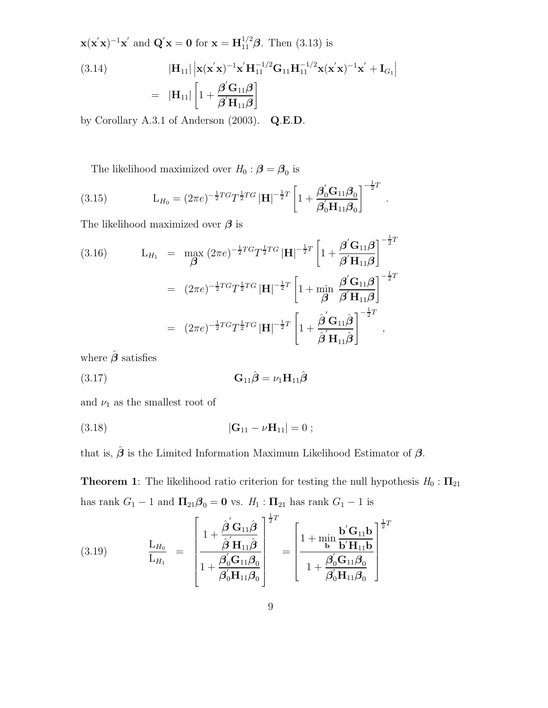$$
\mathbf{x}(\mathbf{x}'\mathbf{x})^{-1}\mathbf{x}' \text{ and } \mathbf{Q}'\mathbf{x} = \mathbf{0} \text{ for } \mathbf{x} = \mathbf{H}_{11}^{1/2}\boldsymbol{\beta}. \text{ Then (3.13) is}
$$
\n
$$
(3.14) \qquad |\mathbf{H}_{11}| |\mathbf{x}(\mathbf{x}'\mathbf{x})^{-1}\mathbf{x}'\mathbf{H}_{11}^{-1/2}\mathbf{G}_{11}\mathbf{H}_{11}^{-1/2}\mathbf{x}(\mathbf{x}'\mathbf{x})^{-1}\mathbf{x}' + \mathbf{I}_{G_1}|
$$
\n
$$
= |\mathbf{H}_{11}| \left[1 + \frac{\boldsymbol{\beta}'\mathbf{G}_{11}\boldsymbol{\beta}}{\boldsymbol{\beta}'\mathbf{H}_{11}\boldsymbol{\beta}}\right]
$$

by Corollary A.3.1 of Anderson (2003). **Q**.**E**.**D**.

The likelihood maximized over  $H_0: \beta = \beta_0$  is

(3.15) 
$$
L_{H_0} = (2\pi e)^{-\frac{1}{2}TG} T^{\frac{1}{2}TG} |\mathbf{H}|^{-\frac{1}{2}T} \left[1 + \frac{\beta'_0 \mathbf{G}_{11} \beta_0}{\beta'_0 \mathbf{H}_{11} \beta_0}\right]^{-\frac{1}{2}T}.
$$

The likelihood maximized over *β* is

(3.16) 
$$
L_{H_1} = \max_{\mathbf{\beta}} (2\pi e)^{-\frac{1}{2}TG} T^{\frac{1}{2}TG} |\mathbf{H}|^{-\frac{1}{2}T} \left[ 1 + \frac{\mathbf{\beta}^{\prime} \mathbf{G}_{11} \mathbf{\beta}}{\mathbf{\beta}^{\prime} \mathbf{H}_{11} \mathbf{\beta}} \right]^{-\frac{1}{2}T} = (2\pi e)^{-\frac{1}{2}TG} T^{\frac{1}{2}TG} |\mathbf{H}|^{-\frac{1}{2}T} \left[ 1 + \min_{\mathbf{\beta}} \frac{\mathbf{\beta}^{\prime} \mathbf{G}_{11} \mathbf{\beta}}{\mathbf{\beta}^{\prime} \mathbf{H}_{11} \mathbf{\beta}} \right]^{-\frac{1}{2}T} = (2\pi e)^{-\frac{1}{2}TG} T^{\frac{1}{2}TG} |\mathbf{H}|^{-\frac{1}{2}T} \left[ 1 + \frac{\hat{\mathbf{\beta}}^{\prime} \mathbf{G}_{11} \hat{\mathbf{\beta}}}{\hat{\mathbf{\beta}}^{\prime} \mathbf{H}_{11} \hat{\mathbf{\beta}}} \right]^{-\frac{1}{2}T},
$$

where  $\hat{\pmb \beta}$  satisfies

$$
\mathbf{G}_{11}\hat{\boldsymbol{\beta}} = \nu_1 \mathbf{H}_{11}\hat{\boldsymbol{\beta}}
$$

and  $\nu_1$  as the smallest root of

(3.18) 
$$
|\mathbf{G}_{11} - \nu \mathbf{H}_{11}| = 0 ;
$$

that is,  $\hat{\boldsymbol{\beta}}$  is the Limited Information Maximum Likelihood Estimator of  $\boldsymbol{\beta}$ .

**Theorem 1**: The likelihood ratio criterion for testing the null hypothesis  $H_0$ :  $\Pi_{21}$ has rank  $G_1 - 1$  and  $\Pi_{21}\beta_0 = 0$  vs.  $H_1 : \Pi_{21}$  has rank  $G_1 - 1$  is

(3.19) 
$$
\frac{\mathbf{L}_{H_0}}{\mathbf{L}_{H_1}} = \begin{bmatrix} 1 + \frac{\hat{\boldsymbol{\beta}}' \mathbf{G}_{11} \hat{\boldsymbol{\beta}}}{\hat{\boldsymbol{\beta}}' \mathbf{H}_{11} \hat{\boldsymbol{\beta}}}_{0} \\ \frac{\hat{\boldsymbol{\beta}}' \mathbf{H}_{11} \hat{\boldsymbol{\beta}}}{\hat{\boldsymbol{\beta}}' \mathbf{H}_{11} \hat{\boldsymbol{\beta}}_{0}} \end{bmatrix}^{\frac{1}{2}T} = \begin{bmatrix} 1 + \min_{\mathbf{b}} \frac{\mathbf{b}' \mathbf{G}_{11} \mathbf{b}}{\mathbf{b}' \mathbf{H}_{11} \mathbf{b}} \\ \frac{\hat{\boldsymbol{\beta}}' \mathbf{H}_{11} \hat{\boldsymbol{\beta}}}{\hat{\boldsymbol{\beta}}' \mathbf{H}_{11} \hat{\boldsymbol{\beta}}_{0}} \end{bmatrix}^{\frac{1}{2}T}
$$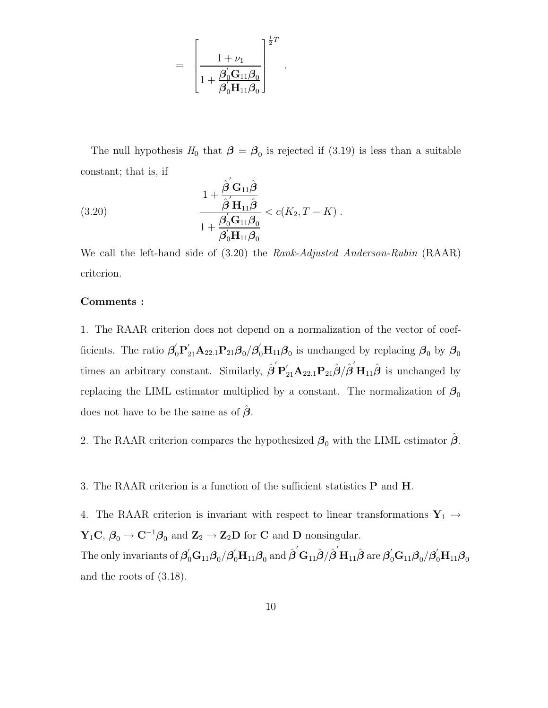$$
=\left[\frac{1+\nu_1}{1+\dfrac{\boldsymbol \beta_0'\mathbf G_{11}\boldsymbol \beta_0}{\boldsymbol \beta_0'\mathbf H_{11}\boldsymbol \beta_0}}\right]^{\frac{1}{2}T}
$$

The null hypothesis  $H_0$  that  $\beta = \beta_0$  is rejected if (3.19) is less than a suitable constant; that is, if

.

(3.20) 
$$
\frac{1 + \frac{\hat{\boldsymbol{\beta}}' \mathbf{G}_{11} \hat{\boldsymbol{\beta}}}{\hat{\boldsymbol{\beta}}' \mathbf{H}_{11} \hat{\boldsymbol{\beta}}}}{1 + \frac{\boldsymbol{\beta}_0' \mathbf{G}_{11} \boldsymbol{\beta}_0}{\boldsymbol{\beta}_0' \mathbf{H}_{11} \boldsymbol{\beta}_0}} < c(K_2, T - K) .
$$

We call the left-hand side of (3.20) the *Rank-Adjusted Anderson-Rubin* (RAAR) criterion.

#### **Comments :**

1. The RAAR criterion does not depend on a normalization of the vector of coefficients. The ratio  $\beta'_0P'_{21}A_{22.1}P_{21}\beta_0/\beta'_0H_{11}\beta_0$  is unchanged by replacing  $\beta_0$  by  $\beta_0$ times an arbitrary constant. Similarly,  $\hat{\boldsymbol{\beta}}' \mathbf{P}_{21}' \mathbf{A}_{22.1} \mathbf{P}_{21} \hat{\boldsymbol{\beta}} / \hat{\boldsymbol{\beta}}' \mathbf{H}_{11} \hat{\boldsymbol{\beta}}$  is unchanged by replacing the LIML estimator multiplied by a constant. The normalization of  $\beta_0$ does not have to be the same as of  $\beta$ .

2. The RAAR criterion compares the hypothesized  $\beta_0$  with the LIML estimator  $\beta$ .

3. The RAAR criterion is a function of the sufficient statistics **P** and **H**.

4. The RAAR criterion is invariant with respect to linear transformations  $\mathbf{Y}_1 \rightarrow$  $\mathbf{Y}_1 \mathbf{C}, \ \beta_0 \to \mathbf{C}^{-1} \beta_0$  and  $\mathbf{Z}_2 \to \mathbf{Z}_2 \mathbf{D}$  for **C** and **D** nonsingular.  $\hat{H}$  are  $\hat{\bm{\beta}}_0^{'} \mathbf{G}_{11} \bm{\beta}_0 / \hat{\bm{\beta}}_0^{'} \mathbf{H}_{11} \bm{\beta}_0$  and  $\hat{\bm{\beta}}^{'} \mathbf{G}_{11} \hat{\bm{\beta}} / \hat{\bm{\beta}}^{'} \mathbf{H}_{11} \hat{\bm{\beta}}$  are  $\hat{\bm{\beta}}_0^{'} \mathbf{G}_{11} \bm{\beta}_0 / \bm{\beta}_0^{'} \mathbf{H}_{11} \bm{\beta}_0$ and the roots of (3.18).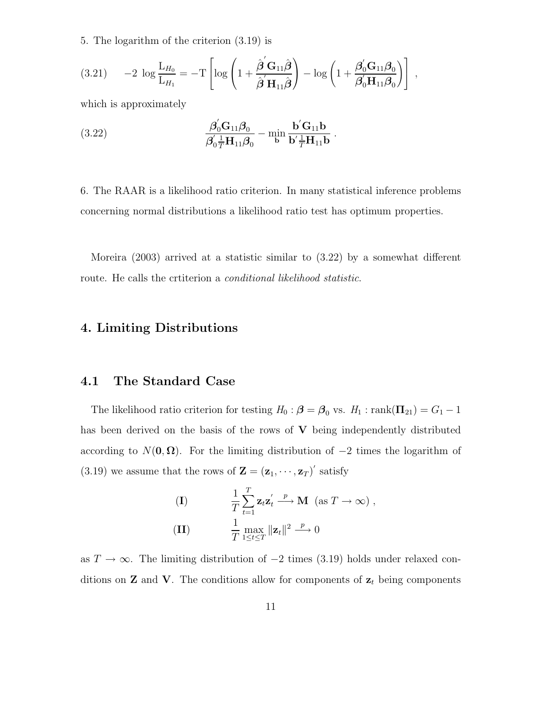5. The logarithm of the criterion (3.19) is

$$
(3.21) \t -2 \log \frac{L_{H_0}}{L_{H_1}} = -T \left[ \log \left( 1 + \frac{\hat{\boldsymbol{\beta}}' \mathbf{G}_{11} \hat{\boldsymbol{\beta}}}{\hat{\boldsymbol{\beta}}' \mathbf{H}_{11} \hat{\boldsymbol{\beta}}} \right) - \log \left( 1 + \frac{\beta_0' \mathbf{G}_{11} \beta_0}{\beta_0' \mathbf{H}_{11} \beta_0} \right) \right],
$$

which is approximately

(3.22) 
$$
\frac{\boldsymbol{\beta}_0' \mathbf{G}_{11} \boldsymbol{\beta}_0}{\boldsymbol{\beta}_0' \frac{1}{T} \mathbf{H}_{11} \boldsymbol{\beta}_0} - \min_{\mathbf{b}} \frac{\mathbf{b}' \mathbf{G}_{11} \mathbf{b}}{\mathbf{b}' \frac{1}{T} \mathbf{H}_{11} \mathbf{b}}.
$$

6. The RAAR is a likelihood ratio criterion. In many statistical inference problems concerning normal distributions a likelihood ratio test has optimum properties.

Moreira (2003) arrived at a statistic similar to (3.22) by a somewhat different route. He calls the crtiterion a *conditional likelihood statistic*.

# **4. Limiting Distributions**

# **4.1 The Standard Case**

The likelihood ratio criterion for testing  $H_0: \beta = \beta_0$  vs.  $H_1: \text{rank}(\Pi_{21}) = G_1 - 1$ has been derived on the basis of the rows of **V** being independently distributed according to  $N(\mathbf{0}, \mathbf{\Omega})$ . For the limiting distribution of  $-2$  times the logarithm of  $(3.19)$  we assume that the rows of  $\mathbf{Z} = (\mathbf{z}_1, \dots, \mathbf{z}_T)$  satisfy

(I) 
$$
\frac{1}{T} \sum_{t=1}^{T} \mathbf{z}_t \mathbf{z}_t' \xrightarrow{p} \mathbf{M} \ (\text{as } T \to \infty),
$$
  
(II) 
$$
\frac{1}{T} \max_{1 \leq t \leq T} ||\mathbf{z}_t||^2 \xrightarrow{p} 0
$$

as  $T \to \infty$ . The limiting distribution of  $-2$  times (3.19) holds under relaxed conditions on **Z** and **V**. The conditions allow for components of  $z_t$  being components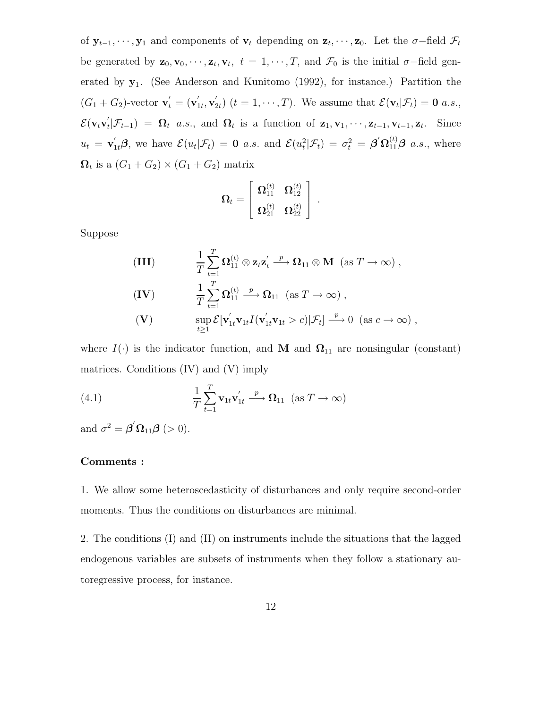of  $\mathbf{y}_{t-1}, \dots, \mathbf{y}_1$  and components of  $\mathbf{v}_t$  depending on  $\mathbf{z}_t, \dots, \mathbf{z}_0$ . Let the  $\sigma$ -field  $\mathcal{F}_t$ be generated by  $\mathbf{z}_0, \mathbf{v}_0, \dots, \mathbf{z}_t, \mathbf{v}_t, t = 1, \dots, T$ , and  $\mathcal{F}_0$  is the initial  $\sigma$ -field generated by **y**1. (See Anderson and Kunitomo (1992), for instance.) Partition the  $(G_1 + G_2)$ -vector  $\mathbf{v}'_t = (\mathbf{v}'_{1t}, \mathbf{v}'_{2t})$   $(t = 1, \dots, T)$ . We assume that  $\mathcal{E}(\mathbf{v}_t | \mathcal{F}_t) = \mathbf{0}$  a.s.,  $\mathcal{E}(\mathbf{v}_t \mathbf{v}_t' | \mathcal{F}_{t-1}) = \mathbf{\Omega}_t$  a.s., and  $\mathbf{\Omega}_t$  is a function of  $\mathbf{z}_1, \mathbf{v}_1, \cdots, \mathbf{z}_{t-1}, \mathbf{v}_{t-1}, \mathbf{z}_t$ . Since  $u_t = \mathbf{v}_{1t}'\boldsymbol{\beta}$ , we have  $\mathcal{E}(u_t|\mathcal{F}_t) = \mathbf{0}$  a.s. and  $\mathcal{E}(u_t^2|\mathcal{F}_t) = \sigma_t^2 = \boldsymbol{\beta}'\mathbf{\Omega}_{11}^{(t)}\boldsymbol{\beta}$  a.s., where  $\Omega_t$  is a  $(G_1 + G_2) \times (G_1 + G_2)$  matrix

$$
\pmb{\Omega}_t = \left[ \begin{array}{cc} \pmb{\Omega}^{(t)}_{11} & \pmb{\Omega}^{(t)}_{12} \\ \\ \pmb{\Omega}^{(t)}_{21} & \pmb{\Omega}^{(t)}_{22} \end{array} \right] \ .
$$

Suppose

(III) 
$$
\frac{1}{T} \sum_{t=1}^{T} \Omega_{11}^{(t)} \otimes z_t z_t' \xrightarrow{p} \Omega_{11} \otimes M \text{ (as } T \to \infty),
$$
  
\n(IV) 
$$
\frac{1}{T} \sum_{t=1}^{T} \Omega_{11}^{(t)} \xrightarrow{p} \Omega_{11} \text{ (as } T \to \infty),
$$
  
\n(V) 
$$
\sup_{t \ge 1} \mathcal{E}[\mathbf{v}_{1t}' \mathbf{v}_{1t} I(\mathbf{v}_{1t}' \mathbf{v}_{1t} > c) | \mathcal{F}_t] \xrightarrow{p} 0 \text{ (as } c \to \infty),
$$

where  $I(\cdot)$  is the indicator function, and **M** and  $\Omega_{11}$  are nonsingular (constant) matrices. Conditions (IV) and (V) imply

(4.1) 
$$
\frac{1}{T} \sum_{t=1}^{T} \mathbf{v}_{1t} \mathbf{v}_{1t}' \xrightarrow{p} \mathbf{\Omega}_{11} \quad (\text{as } T \to \infty)
$$

and  $\sigma^2 = \boldsymbol{\beta}' \boldsymbol{\Omega}_{11} \boldsymbol{\beta}$  (> 0).

#### **Comments :**

1. We allow some heteroscedasticity of disturbances and only require second-order moments. Thus the conditions on disturbances are minimal.

2. The conditions (I) and (II) on instruments include the situations that the lagged endogenous variables are subsets of instruments when they follow a stationary autoregressive process, for instance.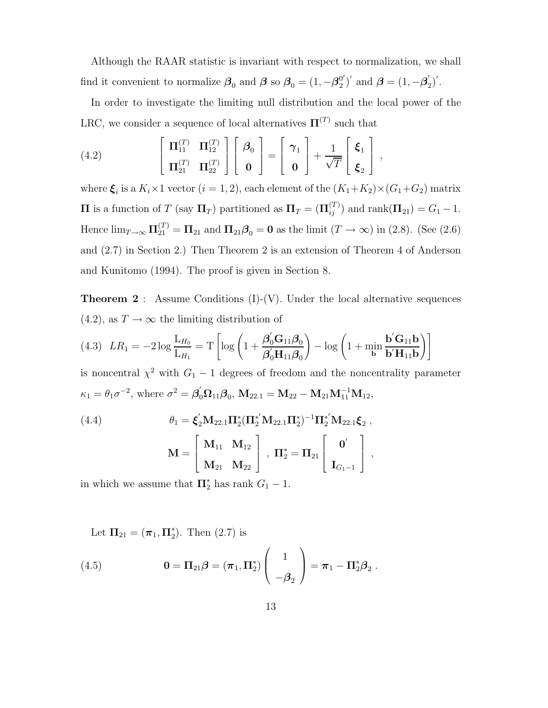Although the RAAR statistic is invariant with respect to normalization, we shall find it convenient to normalize  $\beta_0$  and  $\beta$  so  $\beta_0 = (1, -\beta_2^{0'})'$  and  $\beta = (1, -\beta_2')'$ .

In order to investigate the limiting null distribution and the local power of the LRC, we consider a sequence of local alternatives  $\Pi^{(T)}$  such that

(4.2) 
$$
\begin{bmatrix} \Pi_{11}^{(T)} & \Pi_{12}^{(T)} \\ \Pi_{21}^{(T)} & \Pi_{22}^{(T)} \end{bmatrix} \begin{bmatrix} \beta_0 \\ \mathbf{0} \end{bmatrix} = \begin{bmatrix} \gamma_1 \\ \mathbf{0} \end{bmatrix} + \frac{1}{\sqrt{T}} \begin{bmatrix} \xi_1 \\ \xi_2 \end{bmatrix},
$$

where  $\xi_i$  is a  $K_i \times 1$  vector  $(i = 1, 2)$ , each element of the  $(K_1 + K_2) \times (G_1 + G_2)$  matrix **Π** is a function of T (say  $\Pi_T$ ) partitioned as  $\Pi_T = (\Pi_{ij}^{(T)})$  and rank $(\Pi_{21}) = G_1 - 1$ . Hence  $\lim_{T\to\infty} \mathbf{\Pi}_{21}^{(T)} = \mathbf{\Pi}_{21}$  and  $\mathbf{\Pi}_{21}\boldsymbol{\beta}_0 = \mathbf{0}$  as the limit  $(T \to \infty)$  in (2.8). (See (2.6) and (2.7) in Section 2.) Then Theorem 2 is an extension of Theorem 4 of Anderson and Kunitomo (1994). The proof is given in Section 8.

**Theorem 2** : Assume Conditions (I)-(V). Under the local alternative sequences (4.2), as  $T \to \infty$  the limiting distribution of

$$
(4.3) \quad LR_1 = -2\log\frac{\mathcal{L}_{H_0}}{\mathcal{L}_{H_1}} = T\left[\log\left(1 + \frac{\boldsymbol{\beta}_0'\mathcal{G}_{11}\boldsymbol{\beta}_0}{\boldsymbol{\beta}_0'\mathcal{H}_{11}\boldsymbol{\beta}_0}\right) - \log\left(1 + \min_{\mathbf{b}}\frac{\mathbf{b}'\mathcal{G}_{11}\mathbf{b}}{\mathbf{b}'\mathcal{H}_{11}\mathbf{b}}\right)\right]
$$

is noncentral  $\chi^2$  with  $G_1 - 1$  degrees of freedom and the noncentrality parameter  $\kappa_1 = \theta_1 \sigma^{-2}$ , where  $\sigma^2 = \beta_0' \Omega_{11} \beta_0$ ,  $M_{22.1} = M_{22} - M_{21} M_{11}^{-1} M_{12}$ ,

(4.4) 
$$
\theta_1 = \xi_2' M_{22.1} \Pi_2^* (\Pi_2^{*'} M_{22.1} \Pi_2^{*})^{-1} \Pi_2^{*'} M_{22.1} \xi_2 ,
$$

$$
M = \begin{bmatrix} M_{11} & M_{12} \\ M_{21} & M_{22} \end{bmatrix}, \Pi_2^{*} = \Pi_{21} \begin{bmatrix} 0' \\ I_{G_1-1} \end{bmatrix},
$$

in which we assume that  $\Pi_2^*$  has rank  $G_1 - 1$ .

Let  $\Pi_{21} = (\pi_1, \Pi_2^*)$ . Then  $(2.7)$  is

(4.5) 
$$
\mathbf{0} = \mathbf{\Pi}_{21} \boldsymbol{\beta} = (\boldsymbol{\pi}_1, \mathbf{\Pi}_2^*) \begin{pmatrix} 1 \\ -\boldsymbol{\beta}_2 \end{pmatrix} = \boldsymbol{\pi}_1 - \mathbf{\Pi}_2^* \boldsymbol{\beta}_2.
$$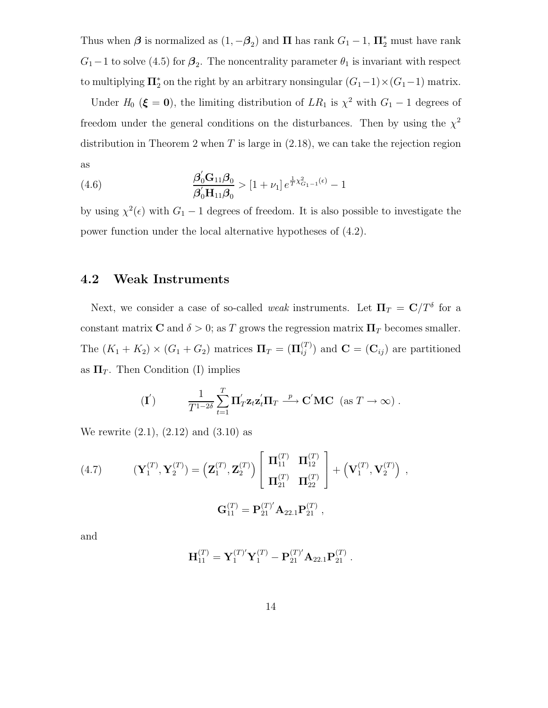Thus when  $\beta$  is normalized as  $(1, -\beta_2)$  and  $\Pi$  has rank  $G_1 - 1$ ,  $\Pi_2^*$  must have rank  $G_1-1$  to solve (4.5) for  $\beta_2$ . The noncentrality parameter  $\theta_1$  is invariant with respect to multiplying  $\Pi_2^*$  on the right by an arbitrary nonsingular  $(G_1-1)\times(G_1-1)$  matrix.

Under  $H_0$  ( $\xi = 0$ ), the limiting distribution of  $LR_1$  is  $\chi^2$  with  $G_1 - 1$  degrees of freedom under the general conditions on the disturbances. Then by using the  $\chi^2$ distribution in Theorem 2 when  $T$  is large in  $(2.18)$ , we can take the rejection region as

(4.6) 
$$
\frac{\beta'_0 G_{11} \beta_0}{\beta'_0 H_{11} \beta_0} > [1 + \nu_1] e^{\frac{1}{T} \chi^2_{G_1 - 1}(\epsilon)} - 1
$$

by using  $\chi^2(\epsilon)$  with  $G_1 - 1$  degrees of freedom. It is also possible to investigate the power function under the local alternative hypotheses of (4.2).

# **4.2 Weak Instruments**

Next, we consider a case of so-called *weak* instruments. Let  $\Pi_T = \mathbf{C}/T^{\delta}$  for a constant matrix **C** and  $\delta > 0$ ; as T grows the regression matrix  $\Pi_T$  becomes smaller. The  $(K_1 + K_2) \times (G_1 + G_2)$  matrices  $\Pi_T = (\Pi_{ij}^{(T)})$  and  $\mathbf{C} = (\mathbf{C}_{ij})$  are partitioned as  $\Pi_T$ . Then Condition (I) implies

$$
(\mathbf{I}') \qquad \frac{1}{T^{1-2\delta}} \sum_{t=1}^T \mathbf{\Pi}'_T \mathbf{z}_t \mathbf{z}_t' \mathbf{\Pi}_T \stackrel{p}{\longrightarrow} \mathbf{C}' \mathbf{M} \mathbf{C} \ (\text{as } T \to \infty) \ .
$$

We rewrite  $(2.1)$ ,  $(2.12)$  and  $(3.10)$  as

(4.7) 
$$
(\mathbf{Y}_1^{(T)}, \mathbf{Y}_2^{(T)}) = (\mathbf{Z}_1^{(T)}, \mathbf{Z}_2^{(T)}) \begin{bmatrix} \mathbf{\Pi}_{11}^{(T)} & \mathbf{\Pi}_{12}^{(T)} \\ \mathbf{\Pi}_{21}^{(T)} & \mathbf{\Pi}_{22}^{(T)} \end{bmatrix} + (\mathbf{V}_1^{(T)}, \mathbf{V}_2^{(T)}) ,
$$

$$
\mathbf{G}_{11}^{(T)} = \mathbf{P}_{21}^{(T)'} \mathbf{A}_{22.1} \mathbf{P}_{21}^{(T)} ,
$$

and

$$
\mathbf{H}_{11}^{(T)} = \mathbf{Y}_1^{(T)'} \mathbf{Y}_1^{(T)} - \mathbf{P}_{21}^{(T)'} \mathbf{A}_{22.1} \mathbf{P}_{21}^{(T)}.
$$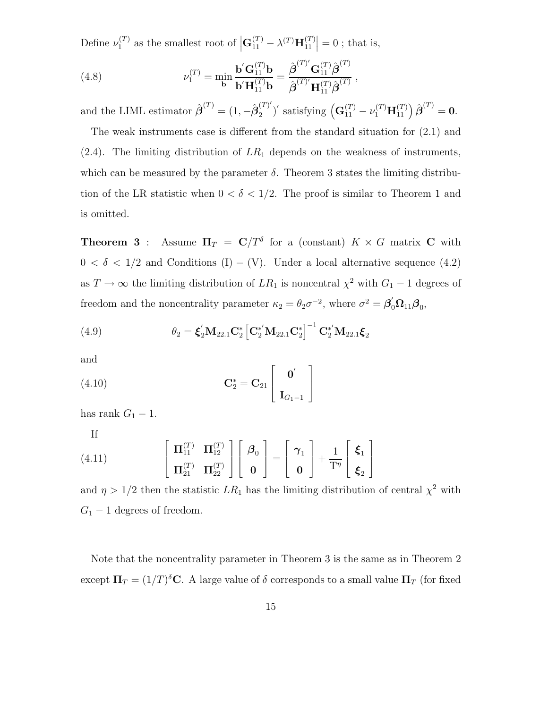Define  $\nu_1^{(T)}$  as the smallest root of  $\left| \mathbf{G}_{11}^{(T)} - \lambda^{(T)} \mathbf{H}_{11}^{(T)} \right| = 0$ ; that is,

(4.8) 
$$
\nu_1^{(T)} = \min_{\mathbf{b}} \frac{\mathbf{b}' \mathbf{G}_{11}^{(T)} \mathbf{b}}{\mathbf{b}' \mathbf{H}_{11}^{(T)} \mathbf{b}} = \frac{\hat{\boldsymbol{\beta}}^{(T)'} \mathbf{G}_{11}^{(T)} \hat{\boldsymbol{\beta}}^{(T)}}{\hat{\boldsymbol{\beta}}^{(T)'} \mathbf{H}_{11}^{(T)} \hat{\boldsymbol{\beta}}^{(T)}},
$$

and the LIML estimator  $\hat{\boldsymbol{\beta}}^{(T)} = (1, -\hat{\boldsymbol{\beta}}_2^{(T)'})'$  satisfying  $(\mathbf{G}_{11}^{(T)} - \nu_1^{(T)} \mathbf{H}_{11}^{(T)}) \hat{\boldsymbol{\beta}}^{(T)} = \mathbf{0}$ .

The weak instruments case is different from the standard situation for (2.1) and  $(2.4)$ . The limiting distribution of  $LR_1$  depends on the weakness of instruments, which can be measured by the parameter  $\delta$ . Theorem 3 states the limiting distribution of the LR statistic when  $0 < \delta < 1/2$ . The proof is similar to Theorem 1 and is omitted.

**Theorem 3** : Assume  $\Pi_T = C/T^{\delta}$  for a (constant)  $K \times G$  matrix **C** with  $0 < \delta < 1/2$  and Conditions (I) – (V). Under a local alternative sequence (4.2) as  $T \to \infty$  the limiting distribution of  $LR_1$  is noncentral  $\chi^2$  with  $G_1 - 1$  degrees of freedom and the noncentrality parameter  $\kappa_2 = \theta_2 \sigma^{-2}$ , where  $\sigma^2 = \beta'_0 \Omega_{11} \beta_0$ ,

(4.9) 
$$
\theta_2 = \xi_2' \mathbf{M}_{22.1} \mathbf{C}_2^* \left[ \mathbf{C}_2^{*'} \mathbf{M}_{22.1} \mathbf{C}_2^* \right]^{-1} \mathbf{C}_2^{*'} \mathbf{M}_{22.1} \xi_2
$$

and

(4.10) 
$$
\mathbf{C}_2^* = \mathbf{C}_{21} \begin{bmatrix} \mathbf{0}' \\ \mathbf{I}_{G_1-1} \end{bmatrix}
$$

has rank  $G_1 - 1$ .

If

(4.11) 
$$
\left[\begin{array}{cc} \Pi_{11}^{(T)} & \Pi_{12}^{(T)} \\ \Pi_{21}^{(T)} & \Pi_{22}^{(T)} \end{array}\right] \left[\begin{array}{c} \boldsymbol{\beta}_0 \\ \mathbf{0} \end{array}\right] = \left[\begin{array}{c} \boldsymbol{\gamma}_1 \\ \mathbf{0} \end{array}\right] + \frac{1}{T^{\eta}} \left[\begin{array}{c} \boldsymbol{\xi}_1 \\ \boldsymbol{\xi}_2 \end{array}\right]
$$

and  $\eta > 1/2$  then the statistic  $LR_1$  has the limiting distribution of central  $\chi^2$  with  $G_1 - 1$  degrees of freedom.

Note that the noncentrality parameter in Theorem 3 is the same as in Theorem 2 except  $\Pi_T = (1/T)^{\delta}C$ . A large value of  $\delta$  corresponds to a small value  $\Pi_T$  (for fixed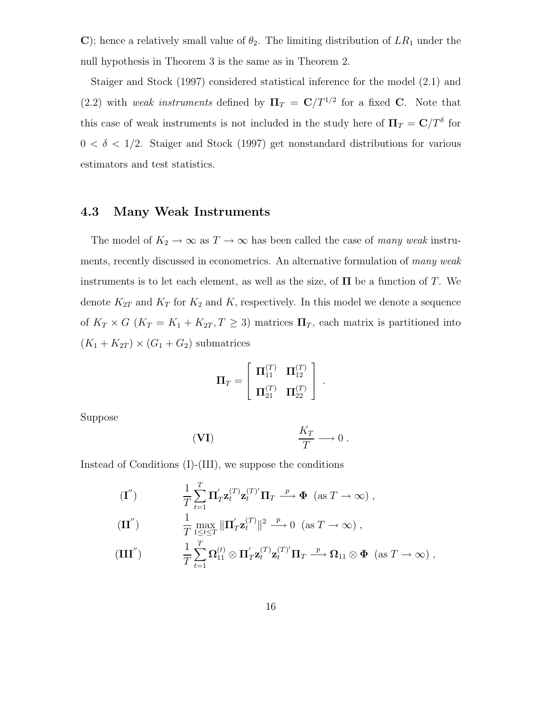**C**); hence a relatively small value of  $\theta_2$ . The limiting distribution of  $LR_1$  under the null hypothesis in Theorem 3 is the same as in Theorem 2.

Staiger and Stock (1997) considered statistical inference for the model (2.1) and  $(2.2)$  with *weak instruments* defined by  $\Pi_T = \mathbb{C}/T^{1/2}$  for a fixed **C**. Note that this case of weak instruments is not included in the study here of  $\Pi_T = \mathbf{C}/T^{\delta}$  for  $0 < \delta < 1/2$ . Staiger and Stock (1997) get nonstandard distributions for various estimators and test statistics.

# **4.3 Many Weak Instruments**

The model of  $K_2 \to \infty$  as  $T \to \infty$  has been called the case of *many weak* instruments, recently discussed in econometrics. An alternative formulation of *many weak* instruments is to let each element, as well as the size, of  $\Pi$  be a function of T. We denote  $K_{2T}$  and  $K_T$  for  $K_2$  and K, respectively. In this model we denote a sequence of  $K_T \times G$  ( $K_T = K_1 + K_{2T}$ ,  $T \geq 3$ ) matrices  $\Pi_T$ , each matrix is partitioned into  $(K_1 + K_{2T}) \times (G_1 + G_2)$  submatrices

$$
\Pi_T = \left[ \begin{array}{cc} \Pi_{11}^{(T)} & \Pi_{12}^{(T)} \\ \Pi_{21}^{(T)} & \Pi_{22}^{(T)} \end{array} \right] \ .
$$

Suppose

$$
\textbf{(VI)} \qquad \qquad \frac{K_T}{T} \longrightarrow 0 \; .
$$

Instead of Conditions (I)-(III), we suppose the conditions

$$
\begin{aligned}\n(\mathbf{I}^{"}) \qquad & \frac{1}{T} \sum_{t=1}^{T} \mathbf{\Pi}_{T}^{'} \mathbf{z}_{t}^{(T)} \mathbf{z}_{t}^{(T)'} \mathbf{\Pi}_{T} \xrightarrow{p} \Phi \ (\text{as } T \to \infty) \,, \\
(\mathbf{II}^{''}) \qquad & \frac{1}{T} \max_{1 \leq t \leq T} \|\mathbf{\Pi}_{T}^{'} \mathbf{z}_{t}^{(T)}\|^{2} \xrightarrow{p} 0 \ (\text{as } T \to \infty) \,, \\
(\mathbf{III}^{''}) \qquad & \frac{1}{T} \sum_{t=1}^{T} \Omega_{11}^{(t)} \otimes \mathbf{\Pi}_{T}^{'} \mathbf{z}_{t}^{(T)} \mathbf{z}_{t}^{(T)} \mathbf{\Pi}_{T} \xrightarrow{p} \Omega_{11} \otimes \Phi \ (\text{as } T \to \infty) \,,\n\end{aligned}
$$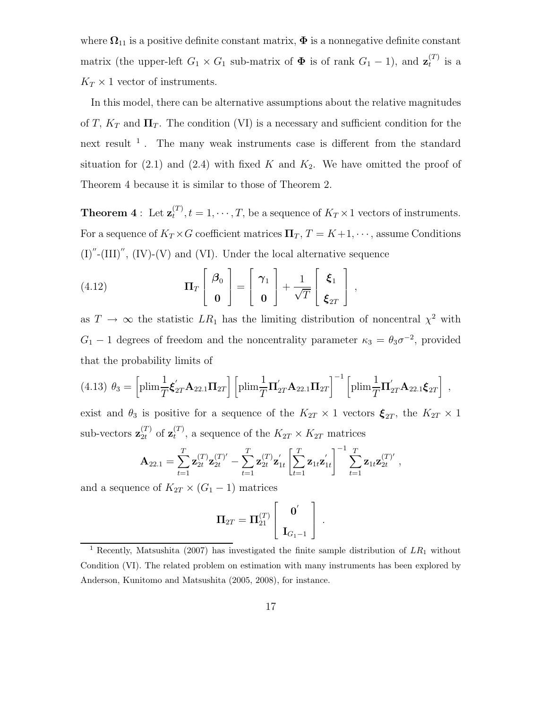where  $\Omega_{11}$  is a positive definite constant matrix,  $\Phi$  is a nonnegative definite constant matrix (the upper-left  $G_1 \times G_1$  sub-matrix of  $\Phi$  is of rank  $G_1 - 1$ ), and  $\mathbf{z}_t^{(T)}$  is a  $K_T \times 1$  vector of instruments.

In this model, there can be alternative assumptions about the relative magnitudes of T,  $K_T$  and  $\Pi_T$ . The condition (VI) is a necessary and sufficient condition for the next result  $<sup>1</sup>$ . The many weak instruments case is different from the standard</sup> situation for  $(2.1)$  and  $(2.4)$  with fixed K and  $K_2$ . We have omitted the proof of Theorem 4 because it is similar to those of Theorem 2.

**Theorem 4**: Let  $\mathbf{z}_t^{(T)}$ ,  $t = 1, \dots, T$ , be a sequence of  $K_T \times 1$  vectors of instruments. For a sequence of  $K_T \times G$  coefficient matrices  $\Pi_T$ ,  $T = K+1, \dots$ , assume Conditions  $(I)''$ - $(III)''$ ,  $(IV)$ - $(V)$  and  $(VI)$ . Under the local alternative sequence

(4.12) 
$$
\mathbf{\Pi}_T \begin{bmatrix} \boldsymbol{\beta}_0 \\ \mathbf{0} \end{bmatrix} = \begin{bmatrix} \boldsymbol{\gamma}_1 \\ \mathbf{0} \end{bmatrix} + \frac{1}{\sqrt{T}} \begin{bmatrix} \boldsymbol{\xi}_1 \\ \boldsymbol{\xi}_{2T} \end{bmatrix},
$$

as  $T \to \infty$  the statistic  $LR_1$  has the limiting distribution of noncentral  $\chi^2$  with  $G_1 - 1$  degrees of freedom and the noncentrality parameter  $\kappa_3 = \theta_3 \sigma^{-2}$ , provided that the probability limits of

$$
(4.13) \ \theta_3 = \left[\text{plim}\frac{1}{T}\boldsymbol{\xi}_{2T}^{'}\mathbf{A}_{22.1}\boldsymbol{\Pi}_{2T}\right] \left[\text{plim}\frac{1}{T}\boldsymbol{\Pi}_{2T}^{'}\mathbf{A}_{22.1}\boldsymbol{\Pi}_{2T}\right]^{-1} \left[\text{plim}\frac{1}{T}\boldsymbol{\Pi}_{2T}^{'}\mathbf{A}_{22.1}\boldsymbol{\xi}_{2T}\right] \ ,
$$

exist and  $\theta_3$  is positive for a sequence of the  $K_{2T} \times 1$  vectors  $\xi_{2T}$ , the  $K_{2T} \times 1$ sub-vectors  $\mathbf{z}_{2t}^{(T)}$  of  $\mathbf{z}_t^{(T)}$ , a sequence of the  $K_{2T} \times K_{2T}$  matrices

$$
\mathbf{A}_{22.1} = \sum_{t=1}^T \mathbf{z}_{2t}^{(T)} \mathbf{z}_{2t}^{(T)'} - \sum_{t=1}^T \mathbf{z}_{2t}^{(T)} \mathbf{z}_{1t}' \left[ \sum_{t=1}^T \mathbf{z}_{1t} \mathbf{z}_{1t}' \right]^{-1} \sum_{t=1}^T \mathbf{z}_{1t} \mathbf{z}_{2t}^{(T)'},
$$

and a sequence of  $K_{2T} \times (G_1 - 1)$  matrices

$$
\boldsymbol{\Pi}_{2T} = \boldsymbol{\Pi}_{21}^{(T)} \left[ \begin{array}{c} \mathbf{0}^{\prime} \\ \mathbf{I}_{G_1-1} \end{array} \right] \ .
$$

<sup>1</sup> Recently, Matsushita (2007) has investigated the finite sample distribution of *LR*<sup>1</sup> without Condition (VI). The related problem on estimation with many instruments has been explored by Anderson, Kunitomo and Matsushita (2005, 2008), for instance.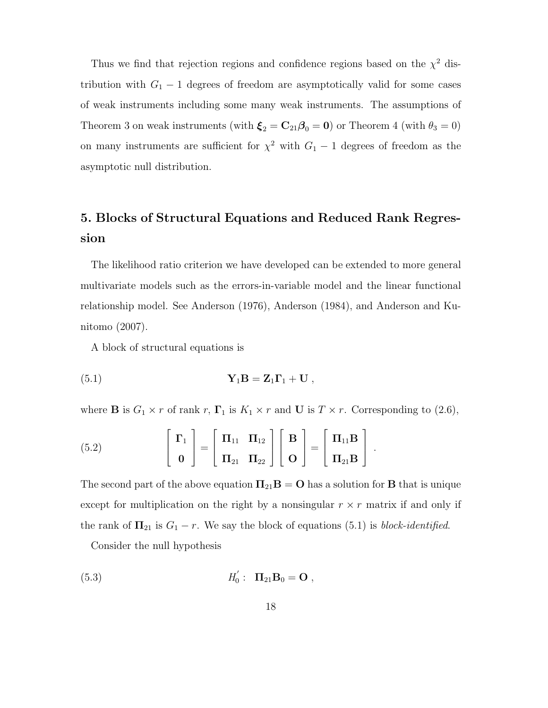Thus we find that rejection regions and confidence regions based on the  $\chi^2$  distribution with  $G_1 - 1$  degrees of freedom are asymptotically valid for some cases of weak instruments including some many weak instruments. The assumptions of Theorem 3 on weak instruments (with  $\xi_2 = \mathbf{C}_{21}\boldsymbol{\beta}_0 = \mathbf{0}$ ) or Theorem 4 (with  $\theta_3 = 0$ ) on many instruments are sufficient for  $\chi^2$  with  $G_1 - 1$  degrees of freedom as the asymptotic null distribution.

# **5. Blocks of Structural Equations and Reduced Rank Regression**

The likelihood ratio criterion we have developed can be extended to more general multivariate models such as the errors-in-variable model and the linear functional relationship model. See Anderson (1976), Anderson (1984), and Anderson and Kunitomo (2007).

A block of structural equations is

(5.1) 
$$
\mathbf{Y}_1 \mathbf{B} = \mathbf{Z}_1 \mathbf{\Gamma}_1 + \mathbf{U} ,
$$

where **B** is  $G_1 \times r$  of rank r,  $\Gamma_1$  is  $K_1 \times r$  and **U** is  $T \times r$ . Corresponding to (2.6),

(5.2) 
$$
\begin{bmatrix} \Gamma_1 \\ \mathbf{0} \end{bmatrix} = \begin{bmatrix} \Pi_{11} & \Pi_{12} \\ \Pi_{21} & \Pi_{22} \end{bmatrix} \begin{bmatrix} \mathbf{B} \\ \mathbf{O} \end{bmatrix} = \begin{bmatrix} \Pi_{11} \mathbf{B} \\ \Pi_{21} \mathbf{B} \end{bmatrix}.
$$

The second part of the above equation  $\Pi_{21}B = O$  has a solution for **B** that is unique except for multiplication on the right by a nonsingular  $r \times r$  matrix if and only if the rank of  $\Pi_{21}$  is  $G_1 - r$ . We say the block of equations (5.1) is *block-identified*.

Consider the null hypothesis

(5.3) 
$$
H'_0: \ \Pi_{21}B_0 = \mathbf{O} ,
$$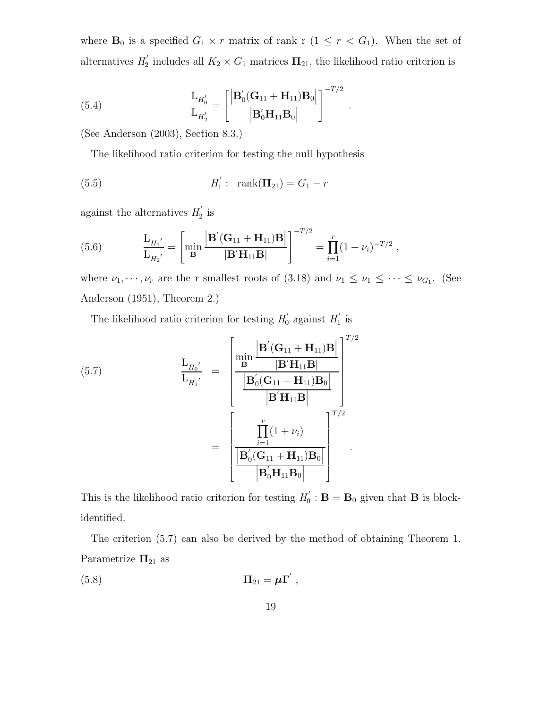where  $\mathbf{B}_0$  is a specified  $G_1 \times r$  matrix of rank r  $(1 \leq r < G_1)$ . When the set of alternatives  $H_2'$  includes all  $K_2 \times G_1$  matrices  $\Pi_{21}$ , the likelihood ratio criterion is

(5.4) 
$$
\frac{L_{H_0'}}{L_{H_2'}} = \left[ \frac{\left| \mathbf{B}_0'(\mathbf{G}_{11} + \mathbf{H}_{11}) \mathbf{B}_0 \right|}{\left| \mathbf{B}_0' \mathbf{H}_{11} \mathbf{B}_0 \right|} \right]^{-T/2}.
$$

(See Anderson (2003), Section 8.3.)

The likelihood ratio criterion for testing the null hypothesis

(5.5) 
$$
H_1': \operatorname{rank}(\Pi_{21}) = G_1 - r
$$

against the alternatives  $H_2'$  is

(5.6) 
$$
\frac{L_{H_1'}}{L_{H_2'}} = \left[ \min_{\mathbf{B}} \frac{\left| \mathbf{B}'(\mathbf{G}_{11} + \mathbf{H}_{11}) \mathbf{B} \right|}{\left| \mathbf{B}' \mathbf{H}_{11} \mathbf{B} \right|} \right]^{-T/2} = \prod_{i=1}^r (1 + \nu_i)^{-T/2},
$$

where  $\nu_1, \dots, \nu_r$  are the r smallest roots of (3.18) and  $\nu_1 \leq \nu_1 \leq \dots \leq \nu_{G_1}$ . (See Anderson (1951), Theorem 2.)

The likelihood ratio criterion for testing  $H_0'$  against  $H_1'$  is

(5.7)  
\n
$$
\frac{\mathbf{L}_{H_0'}}{\mathbf{L}_{H_1'}} = \frac{\begin{bmatrix}\n\min \frac{\mathbf{B'}(\mathbf{G}_{11} + \mathbf{H}_{11})\mathbf{B}}{|\mathbf{B'}\mathbf{H}_{11}\mathbf{B}|}\n\end{bmatrix}^{T/2}}{\begin{bmatrix}\n\mathbf{B'}(\mathbf{G}_{11} + \mathbf{H}_{11})\mathbf{B}_0\n\end{bmatrix}}\n\end{aligned}
$$
\n
$$
= \frac{\begin{bmatrix}\n\prod_{i=1}^{r}(1 + \nu_i) \\
\boxed{\mathbf{B'}\mathbf{H}_{11}\mathbf{B}}\n\end{bmatrix}^{T/2}}{\begin{bmatrix}\n\mathbf{B'}(\mathbf{G}_{11} + \mathbf{H}_{11})\mathbf{B}_0\n\end{bmatrix}}
$$
\n
$$
= \frac{\begin{bmatrix}\n\prod_{i=1}^{r}(1 + \nu_i) \\
\boxed{\mathbf{B'}_0(\mathbf{G}_{11} + \mathbf{H}_{11})\mathbf{B}_0}\n\end{bmatrix}^{T/2}}{\begin{bmatrix}\n\mathbf{B'}\mathbf{H}_{11}\mathbf{B}_0\n\end{bmatrix}}
$$

This is the likelihood ratio criterion for testing  $H'_0$ :  $\mathbf{B} = \mathbf{B}_0$  given that **B** is blockidentified.

The criterion (5.7) can also be derived by the method of obtaining Theorem 1. Parametrize  $\Pi_{21}$  as

$$
\Pi_{21} = \mu \Gamma' ,
$$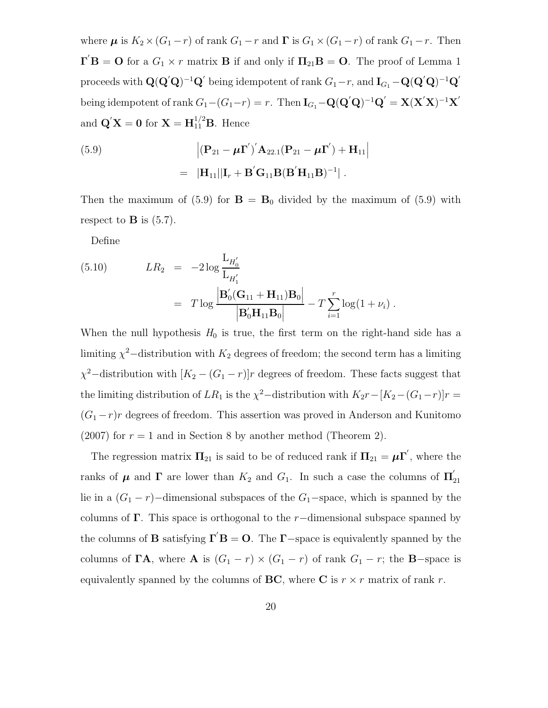where  $\mu$  is  $K_2 \times (G_1 - r)$  of rank  $G_1 - r$  and  $\Gamma$  is  $G_1 \times (G_1 - r)$  of rank  $G_1 - r$ . Then  $\mathbf{\Gamma}^{\prime}\mathbf{B} = \mathbf{O}$  for a  $G_1 \times r$  matrix **B** if and only if  $\Pi_{21}\mathbf{B} = \mathbf{O}$ . The proof of Lemma 1  $\bf{p}$  proceeds with  $\bf{Q}(\bf{Q}'\bf{Q})^{-1}\bf{Q}'$  being idempotent of rank  $G_1-r$ , and  $\bf{I}_{G_1}-\bf{Q}(\bf{Q}'\bf{Q})^{-1}\bf{Q}'$  $\text{being idempotent of } \text{rank } G_1 - (G_1 - r) = r. \text{ Then } \mathbf{I}_{G_1} - \mathbf{Q}(\mathbf{Q}'\mathbf{Q})^{-1}\mathbf{Q}' = \mathbf{X}(\mathbf{X}'\mathbf{X})^{-1}\mathbf{X}'$ and  $\mathbf{Q}'\mathbf{X} = \mathbf{0}$  for  $\mathbf{X} = \mathbf{H}_{11}^{1/2}\mathbf{B}$ . Hence

(5.9) 
$$
\left| (\mathbf{P}_{21} - \boldsymbol{\mu} \mathbf{\Gamma}') \right| \mathbf{A}_{22.1} (\mathbf{P}_{21} - \boldsymbol{\mu} \mathbf{\Gamma}') + \mathbf{H}_{11} \right|
$$

$$
= |\mathbf{H}_{11}| |\mathbf{I}_r + \mathbf{B}' \mathbf{G}_{11} \mathbf{B} (\mathbf{B}' \mathbf{H}_{11} \mathbf{B})^{-1} |.
$$

Then the maximum of  $(5.9)$  for  $\mathbf{B} = \mathbf{B}_0$  divided by the maximum of  $(5.9)$  with respect to  $\bf{B}$  is (5.7).

Define

(5.10) 
$$
LR_2 = -2 \log \frac{L_{H'_0}}{L_{H'_1}} \\
= T \log \frac{\left| \mathbf{B}'_0(\mathbf{G}_{11} + \mathbf{H}_{11}) \mathbf{B}_0 \right|}{\left| \mathbf{B}'_0 \mathbf{H}_{11} \mathbf{B}_0 \right|} - T \sum_{i=1}^r \log(1 + \nu_i) .
$$

When the null hypothesis  $H_0$  is true, the first term on the right-hand side has a limiting  $\chi^2$ −distribution with  $K_2$  degrees of freedom; the second term has a limiting  $\chi^2$ –distribution with  $[K_2 - (G_1 - r)]r$  degrees of freedom. These facts suggest that the limiting distribution of  $LR_1$  is the  $\chi^2$ −distribution with  $K_2r-[K_2-(G_1-r)]r$  =  $(G_1 - r)r$  degrees of freedom. This assertion was proved in Anderson and Kunitomo (2007) for  $r = 1$  and in Section 8 by another method (Theorem 2).

The regression matrix  $\Pi_{21}$  is said to be of reduced rank if  $\Pi_{21} = \mu \Gamma'$ , where the ranks of  $\mu$  and  $\Gamma$  are lower than  $K_2$  and  $G_1$ . In such a case the columns of  $\Pi'_{21}$ lie in a  $(G_1 - r)$ –dimensional subspaces of the  $G_1$ –space, which is spanned by the columns of **Γ**. This space is orthogonal to the  $r$ -dimensional subspace spanned by the columns of **B** satisfying  $\mathbf{\Gamma}'\mathbf{B} = \mathbf{O}$ . The **Γ**-space is equivalently spanned by the columns of **ΓA**, where **A** is  $(G_1 - r) \times (G_1 - r)$  of rank  $G_1 - r$ ; the **B**-space is equivalently spanned by the columns of **BC**, where **C** is  $r \times r$  matrix of rank r.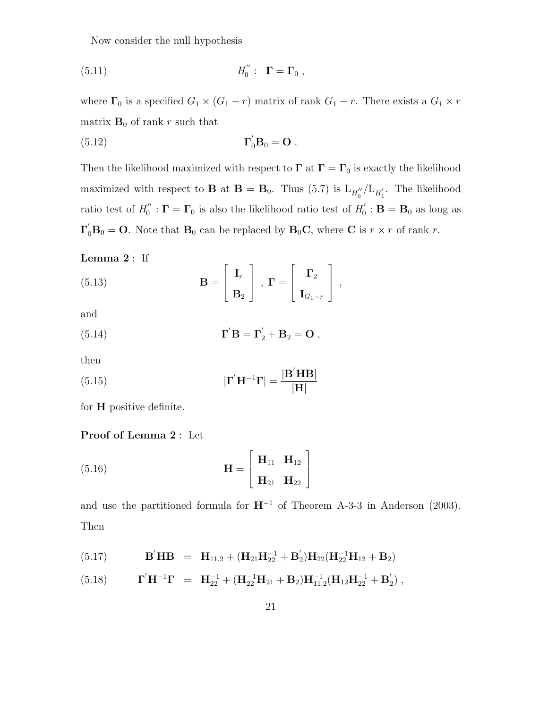Now consider the null hypothesis

*H*--<sup>0</sup> (5.11) : **Γ** = **Γ**<sup>0</sup> ,

where  $\Gamma_0$  is a specified  $G_1 \times (G_1 - r)$  matrix of rank  $G_1 - r$ . There exists a  $G_1 \times r$ matrix  $\mathbf{B}_0$  of rank r such that

$$
\Gamma_0^{'} \mathbf{B}_0 = \mathbf{O} .
$$

Then the likelihood maximized with respect to  $\Gamma$  at  $\Gamma = \Gamma_0$  is exactly the likelihood maximized with respect to **B** at  $B = B_0$ . Thus (5.7) is  $L_{H_0''}/L_{H_1'}$ . The likelihood ratio test of  $H_0'': \Gamma = \Gamma_0$  is also the likelihood ratio test of  $H_0': \mathbf{B} = \mathbf{B}_0$  as long as  $\Gamma'_0$ **B**<sup>0</sup> = **O**. Note that **B**<sup>0</sup> can be replaced by **B**<sup>0</sup>**C**, where **C** is  $r \times r$  of rank r.

**Lemma 2** : If

(5.13) 
$$
\mathbf{B} = \begin{bmatrix} \mathbf{I}_r \\ \mathbf{B}_2 \end{bmatrix}, \ \mathbf{\Gamma} = \begin{bmatrix} \mathbf{\Gamma}_2 \\ \mathbf{I}_{G_1-r} \end{bmatrix},
$$

and

(5.14) 
$$
\mathbf{\Gamma}'\mathbf{B} = \mathbf{\Gamma}'_2 + \mathbf{B}_2 = \mathbf{O} ,
$$

then

(5.15) 
$$
|\mathbf{\Gamma}'\mathbf{H}^{-1}\mathbf{\Gamma}| = \frac{|\mathbf{B}'\mathbf{H}\mathbf{B}|}{|\mathbf{H}|}
$$

for **H** positive definite.

#### **Proof of Lemma 2** : Let

(5.16) 
$$
\mathbf{H} = \begin{bmatrix} \mathbf{H}_{11} & \mathbf{H}_{12} \\ \mathbf{H}_{21} & \mathbf{H}_{22} \end{bmatrix}
$$

and use the partitioned formula for  $H^{-1}$  of Theorem A-3-3 in Anderson (2003). Then

(5.17) 
$$
\mathbf{B}'\mathbf{H}\mathbf{B} = \mathbf{H}_{11.2} + (\mathbf{H}_{21}\mathbf{H}_{22}^{-1} + \mathbf{B}'_2)\mathbf{H}_{22}(\mathbf{H}_{22}^{-1}\mathbf{H}_{12} + \mathbf{B}_2)
$$

(5.18) 
$$
\mathbf{\Gamma}^{\prime}\mathbf{H}^{-1}\mathbf{\Gamma} = \mathbf{H}_{22}^{-1} + (\mathbf{H}_{22}^{-1}\mathbf{H}_{21} + \mathbf{B}_2)\mathbf{H}_{11.2}^{-1}(\mathbf{H}_{12}\mathbf{H}_{22}^{-1} + \mathbf{B}_2^{\prime}),
$$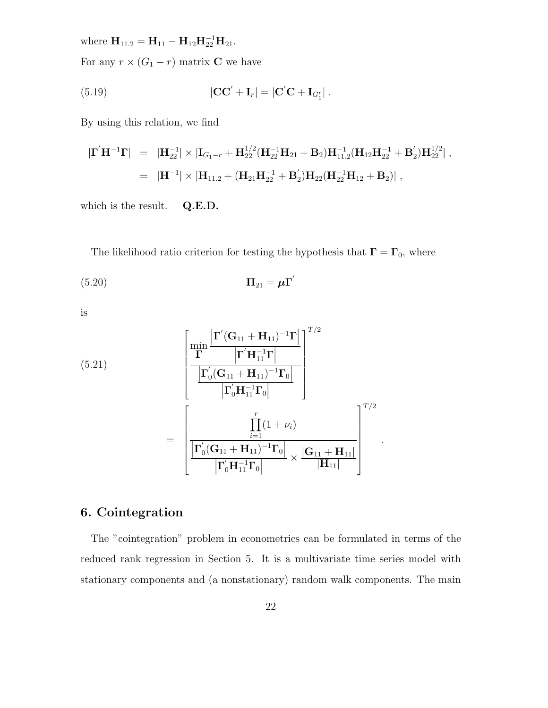where  $\mathbf{H}_{11.2} = \mathbf{H}_{11} - \mathbf{H}_{12} \mathbf{H}_{22}^{-1} \mathbf{H}_{21}$ .

For any  $r \times (G_1 - r)$  matrix **C** we have

(5.19) 
$$
|\mathbf{CC}' + \mathbf{I}_r| = |\mathbf{C}'\mathbf{C} + \mathbf{I}_{G_1'}|.
$$

By using this relation, we find

$$
\begin{array}{lll} | \Gamma' \mathbf{H}^{-1} \Gamma | & = & | \mathbf{H}_{22}^{-1} | \times | \mathbf{I}_{G_1 - r} + \mathbf{H}_{22}^{1/2} ( \mathbf{H}_{22}^{-1} \mathbf{H}_{21} + \mathbf{B}_2 ) \mathbf{H}_{11.2}^{-1} ( \mathbf{H}_{12} \mathbf{H}_{22}^{-1} + \mathbf{B}_2' ) \mathbf{H}_{22}^{1/2} | \ , \\ \\ & = & | \mathbf{H}^{-1} | \times | \mathbf{H}_{11.2} + ( \mathbf{H}_{21} \mathbf{H}_{22}^{-1} + \mathbf{B}_2' ) \mathbf{H}_{22} ( \mathbf{H}_{22}^{-1} \mathbf{H}_{12} + \mathbf{B}_2) | \ , \end{array}
$$

which is the result. **Q.E.D.**

The likelihood ratio criterion for testing the hypothesis that  $\mathbf{\Gamma} = \mathbf{\Gamma}_0$ , where

-

.

$$
\Pi_{21} = \mu \Gamma
$$

is

(5.21)  

$$
\frac{\left[\min_{\mathbf{\Gamma}} \frac{\left|\mathbf{\Gamma}'(\mathbf{G}_{11} + \mathbf{H}_{11})^{-1}\mathbf{\Gamma}\right|}{\left|\mathbf{\Gamma}'_{0}(\mathbf{G}_{11} + \mathbf{H}_{11})^{-1}\mathbf{\Gamma}_{0}\right|}\right]^{T/2}}{\left|\frac{\left|\mathbf{\Gamma}'_{0}(\mathbf{G}_{11} + \mathbf{H}_{11})^{-1}\mathbf{\Gamma}_{0}\right|}{\left|\mathbf{\Gamma}'_{0}\mathbf{H}_{11}^{-1}\mathbf{\Gamma}_{0}\right|}\right|}
$$

$$
= \left[\frac{\prod_{i=1}^{r}(1 + \nu_{i})}{\left|\mathbf{\Gamma}'_{0}(\mathbf{G}_{11} + \mathbf{H}_{11})^{-1}\mathbf{\Gamma}_{0}\right|} \times \frac{|\mathbf{G}_{11} + \mathbf{H}_{11}|}{|\mathbf{H}_{11}|}\right]^{T/2}
$$

# **6. Cointegration**

The "cointegration" problem in econometrics can be formulated in terms of the reduced rank regression in Section 5. It is a multivariate time series model with stationary components and (a nonstationary) random walk components. The main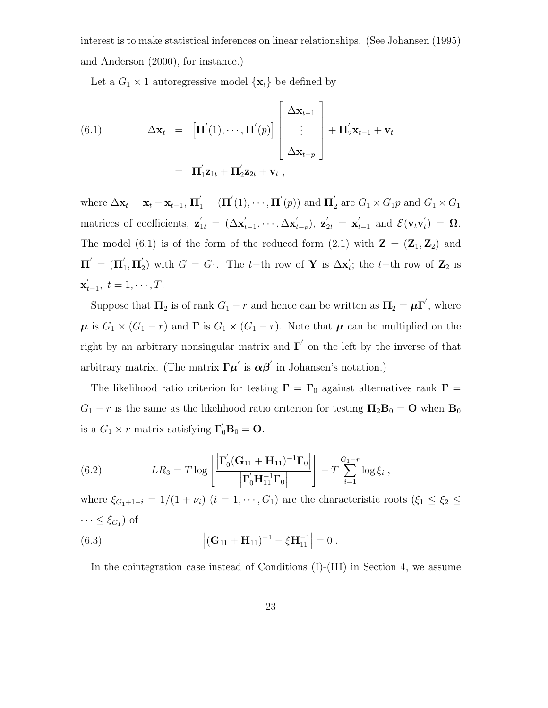interest is to make statistical inferences on linear relationships. (See Johansen (1995) and Anderson (2000), for instance.)

Let a  $G_1 \times 1$  autoregressive model  $\{x_t\}$  be defined by

(6.1) 
$$
\Delta \mathbf{x}_t = \left[ \mathbf{\Pi}'(1), \cdots, \mathbf{\Pi}'(p) \right] \begin{bmatrix} \Delta \mathbf{x}_{t-1} \\ \vdots \\ \Delta \mathbf{x}_{t-p} \end{bmatrix} + \mathbf{\Pi}'_2 \mathbf{x}_{t-1} + \mathbf{v}_t
$$

$$
= \mathbf{\Pi}'_1 \mathbf{z}_{1t} + \mathbf{\Pi}'_2 \mathbf{z}_{2t} + \mathbf{v}_t,
$$

where  $\Delta \mathbf{x}_t = \mathbf{x}_t - \mathbf{x}_{t-1}$ ,  $\mathbf{\Pi}'_1 = (\mathbf{\Pi}'(1), \cdots, \mathbf{\Pi}'(p))$  and  $\mathbf{\Pi}'_2$  are  $G_1 \times G_1 p$  and  $G_1 \times G_1 p$ matrices of coefficients,  $\mathbf{z}'_{1t} = (\Delta \mathbf{x}'_{t-1}, \cdots, \Delta \mathbf{x}'_{t-p}), \mathbf{z}'_{2t} = \mathbf{x}'_{t-1}$  and  $\mathcal{E}(\mathbf{v}_t \mathbf{v}'_t) = \mathbf{\Omega}.$ The model (6.1) is of the form of the reduced form  $(2.1)$  with  $\mathbf{Z} = (\mathbf{Z}_1, \mathbf{Z}_2)$  and  $\Pi' = (\Pi'_1, \Pi'_2)$  with  $G = G_1$ . The t-th row of **Y** is  $\Delta \mathbf{x}'_t$ ; the t-th row of  $\mathbf{Z}_2$  is  $\mathbf{x}'_{t-1}, t = 1, \cdots, T.$ 

Suppose that  $\Pi_2$  is of rank  $G_1 - r$  and hence can be written as  $\Pi_2 = \mu \Gamma'$ , where  $\mu$  is  $G_1 \times (G_1 - r)$  and  $\Gamma$  is  $G_1 \times (G_1 - r)$ . Note that  $\mu$  can be multiplied on the right by an arbitrary nonsingular matrix and  $\Gamma'$  on the left by the inverse of that arbitrary matrix. (The matrix  $\Gamma \mu'$  is  $\alpha \beta'$  in Johansen's notation.)

The likelihood ratio criterion for testing  $\Gamma = \Gamma_0$  against alternatives rank  $\Gamma =$  $G_1 - r$  is the same as the likelihood ratio criterion for testing  $\Pi_2 \mathbf{B}_0 = \mathbf{O}$  when  $\mathbf{B}_0$ is a  $G_1 \times r$  matrix satisfying  $\Gamma'_0 \mathbf{B}_0 = \mathbf{O}$ .

(6.2) 
$$
LR_3 = T \log \left[ \frac{\left| \Gamma_0'(\mathbf{G}_{11} + \mathbf{H}_{11})^{-1} \mathbf{\Gamma}_0 \right|}{\left| \Gamma_0' \mathbf{H}_{11}^{-1} \mathbf{\Gamma}_0 \right|} \right] - T \sum_{i=1}^{G_1 - r} \log \xi_i ,
$$

where  $\xi_{G_1+1-i} = 1/(1 + \nu_i)$   $(i = 1, \dots, G_1)$  are the characteristic roots  $(\xi_1 \leq \xi_2 \leq$  $\cdots \leq \xi_{G_1}$ ) of (6.3)  $|(\mathbf{G}_{11} + \mathbf{H}_{11})^{-1} - \xi \mathbf{H}_{11}^{-1}| = 0$ .

In the cointegration case instead of Conditions (I)-(III) in Section 4, we assume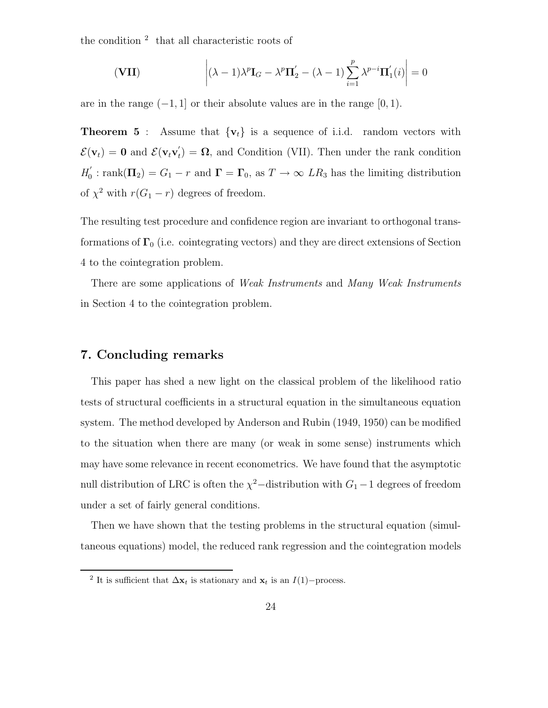the condition  $2$  that all characteristic roots of

$$
\left(\mathbf{VII}\right) \qquad \qquad \left| (\lambda - 1)\lambda^p \mathbf{I}_G - \lambda^p \mathbf{\Pi}'_2 - (\lambda - 1) \sum_{i=1}^p \lambda^{p-i} \mathbf{\Pi}'_1(i) \right| = 0
$$

are in the range  $(-1, 1]$  or their absolute values are in the range  $[0, 1)$ .

**Theorem 5** : Assume that  $\{v_t\}$  is a sequence of i.i.d. random vectors with  $\mathcal{E}(\mathbf{v}_t) = \mathbf{0}$  and  $\mathcal{E}(\mathbf{v}_t \mathbf{v}_t') = \mathbf{\Omega}$ , and Condition (VII). Then under the rank condition  $H_0'$ : rank $(\mathbf{\Pi}_2) = G_1 - r$  and  $\mathbf{\Gamma} = \mathbf{\Gamma}_0$ , as  $T \to \infty$  LR<sub>3</sub> has the limiting distribution of  $\chi^2$  with  $r(G_1 - r)$  degrees of freedom.

The resulting test procedure and confidence region are invariant to orthogonal transformations of  $\Gamma_0$  (i.e. cointegrating vectors) and they are direct extensions of Section 4 to the cointegration problem.

There are some applications of *Weak Instruments* and *Many Weak Instruments* in Section 4 to the cointegration problem.

## **7. Concluding remarks**

This paper has shed a new light on the classical problem of the likelihood ratio tests of structural coefficients in a structural equation in the simultaneous equation system. The method developed by Anderson and Rubin (1949, 1950) can be modified to the situation when there are many (or weak in some sense) instruments which may have some relevance in recent econometrics. We have found that the asymptotic null distribution of LRC is often the  $\chi^2$ –distribution with  $G_1$ –1 degrees of freedom under a set of fairly general conditions.

Then we have shown that the testing problems in the structural equation (simultaneous equations) model, the reduced rank regression and the cointegration models

<sup>&</sup>lt;sup>2</sup> It is sufficient that  $\Delta \mathbf{x}_t$  is stationary and  $\mathbf{x}_t$  is an *I*(1)−process.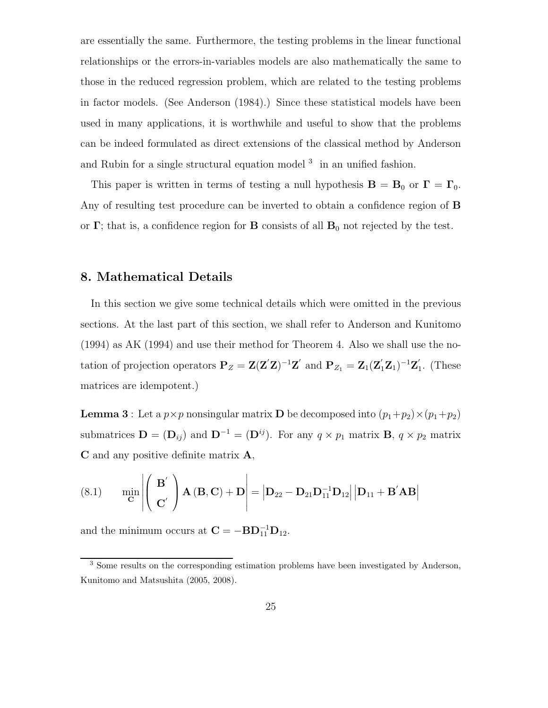are essentially the same. Furthermore, the testing problems in the linear functional relationships or the errors-in-variables models are also mathematically the same to those in the reduced regression problem, which are related to the testing problems in factor models. (See Anderson (1984).) Since these statistical models have been used in many applications, it is worthwhile and useful to show that the problems can be indeed formulated as direct extensions of the classical method by Anderson and Rubin for a single structural equation model  $3$  in an unified fashion.

This paper is written in terms of testing a null hypothesis  $\mathbf{B} = \mathbf{B}_0$  or  $\mathbf{\Gamma} = \mathbf{\Gamma}_0$ . Any of resulting test procedure can be inverted to obtain a confidence region of **B** or **Γ**; that is, a confidence region for **B** consists of all  $\mathbf{B}_0$  not rejected by the test.

## **8. Mathematical Details**

In this section we give some technical details which were omitted in the previous sections. At the last part of this section, we shall refer to Anderson and Kunitomo (1994) as AK (1994) and use their method for Theorem 4. Also we shall use the notation of projection operators  $P_Z = Z(Z'Z)^{-1}Z'$  and  $P_{Z_1} = Z_1(Z'_1Z_1)^{-1}Z'_1$ . (These matrices are idempotent.)

**Lemma 3** : Let a  $p \times p$  nonsingular matrix **D** be decomposed into  $(p_1+p_2) \times (p_1+p_2)$ submatrices  $\mathbf{D} = (\mathbf{D}_{ij})$  and  $\mathbf{D}^{-1} = (\mathbf{D}^{ij})$ . For any  $q \times p_1$  matrix  $\mathbf{B}, q \times p_2$  matrix **C** and any positive definite matrix **A**,

(8.1) 
$$
\min_{\mathbf{C}} \left| \left( \begin{array}{c} \mathbf{B}' \\ \mathbf{C}' \end{array} \right) \mathbf{A} (\mathbf{B}, \mathbf{C}) + \mathbf{D} \right| = \left| \mathbf{D}_{22} - \mathbf{D}_{21} \mathbf{D}_{11}^{-1} \mathbf{D}_{12} \right| \left| \mathbf{D}_{11} + \mathbf{B}' \mathbf{A} \mathbf{B} \right|
$$

and the minimum occurs at  $\mathbf{C} = -\mathbf{B}\mathbf{D}_{11}^{-1}\mathbf{D}_{12}$ .

<sup>3</sup> Some results on the corresponding estimation problems have been investigated by Anderson, Kunitomo and Matsushita (2005, 2008).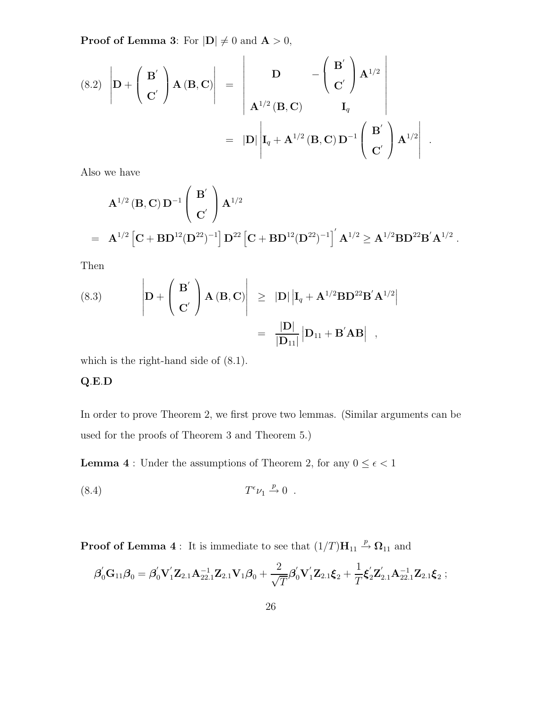**Proof of Lemma 3**: For  $|\mathbf{D}| \neq 0$  and  $\mathbf{A} > 0$ ,

(8.2) 
$$
\left| \mathbf{D} + \left( \begin{array}{c} \mathbf{B}' \\ \mathbf{C}' \end{array} \right) \mathbf{A} (\mathbf{B}, \mathbf{C}) \right| = \left| \begin{array}{cc} \mathbf{D} & -\left( \begin{array}{c} \mathbf{B}' \\ \mathbf{C}' \end{array} \right) \mathbf{A}^{1/2} \\ \mathbf{A}^{1/2} (\mathbf{B}, \mathbf{C}) & \mathbf{I}_q \end{array} \right|
$$
  

$$
= |\mathbf{D}| \left| \mathbf{I}_q + \mathbf{A}^{1/2} (\mathbf{B}, \mathbf{C}) \mathbf{D}^{-1} \left( \begin{array}{c} \mathbf{B}' \\ \mathbf{C}' \end{array} \right) \mathbf{A}^{1/2} \right| .
$$

Also we have

$$
\begin{array}{ll} & {\mathbf A}^{1/2} \left( {\mathbf B}, {\mathbf C} \right) {\mathbf D}^{-1} \left( \begin{array}{c} {\mathbf B}^{'} \\ \\ {\mathbf C}^{'} \end{array} \right) {\mathbf A}^{1/2} \\ \\ = & {\mathbf A}^{1/2} \left[ {\mathbf C} + {\mathbf B} {\mathbf D}^{12} ({\mathbf D}^{22})^{-1} \right] {\mathbf D}^{22} \left[ {\mathbf C} + {\mathbf B} {\mathbf D}^{12} ({\mathbf D}^{22})^{-1} \right]^{'} {\mathbf A}^{1/2} \geq {\mathbf A}^{1/2} {\mathbf B} {\mathbf D}^{22} {\mathbf B}^{'} {\mathbf A}^{1/2} \; . \end{array}
$$

 $\overline{\phantom{a}}$ 

Then

(8.3) 
$$
\left| \mathbf{D} + \left( \begin{array}{c} \mathbf{B}' \\ \mathbf{C}' \end{array} \right) \mathbf{A} (\mathbf{B}, \mathbf{C}) \right| \geq |\mathbf{D}| \left| \mathbf{I}_q + \mathbf{A}^{1/2} \mathbf{B} \mathbf{D}^{22} \mathbf{B}' \mathbf{A}^{1/2} \right|
$$

$$
= \frac{|\mathbf{D}|}{|\mathbf{D}_{11}|} |\mathbf{D}_{11} + \mathbf{B}' \mathbf{A} \mathbf{B}| ,
$$

which is the right-hand side of (8.1).

### **Q**.**E**.**D**

In order to prove Theorem 2, we first prove two lemmas. (Similar arguments can be used for the proofs of Theorem 3 and Theorem 5.)

 ${\bf Lemma ~4: }$  Under the assumptions of Theorem 2, for any  $0 \leq \epsilon < 1$ 

$$
(8.4) \tT^{\epsilon} \nu_1 \stackrel{p}{\rightarrow} 0.
$$

**Proof of Lemma 4**: It is immediate to see that  $(1/T)H_{11} \stackrel{p}{\rightarrow} \Omega_{11}$  and

$$
\boldsymbol{\beta}_0 ^\prime \mathbf{G}_{11} \boldsymbol{\beta}_0 = \boldsymbol{\beta}_0 ^\prime \mathbf{V}_1^\prime \mathbf{Z}_{2.1} \mathbf{A}_{22.1}^{-1} \mathbf{Z}_{2.1} \mathbf{V}_1 \boldsymbol{\beta}_0 + \frac{2}{\sqrt{T}} \boldsymbol{\beta}_0 ^\prime \mathbf{V}_1^\prime \mathbf{Z}_{2.1} \boldsymbol{\xi}_2 + \frac{1}{T} \boldsymbol{\xi}_2 ^\prime \mathbf{Z}_{2.1}^\prime \mathbf{A}_{22.1}^{-1} \mathbf{Z}_{2.1} \boldsymbol{\xi}_2 \ ;
$$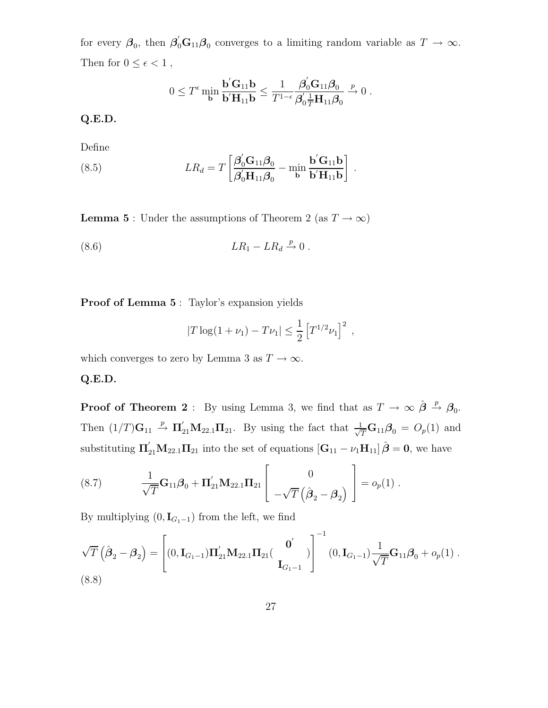for every  $\beta_0$ , then  $\beta'_0$ **G**<sub>11</sub> $\beta_0$  converges to a limiting random variable as  $T \to \infty$ . Then for  $0\leq\epsilon<1$  ,

$$
0 \leq T^{\epsilon} \min_{\mathbf{b}} \frac{\mathbf{b}' \mathbf{G}_{11} \mathbf{b}}{\mathbf{b}' \mathbf{H}_{11} \mathbf{b}} \leq \frac{1}{T^{1-\epsilon}} \frac{\beta'_0 \mathbf{G}_{11} \beta_0}{\beta'_0 \frac{1}{T} \mathbf{H}_{11} \beta_0} \xrightarrow{p} 0.
$$

**Q.E.D.**

Define

(8.5) 
$$
LR_d = T \left[ \frac{\boldsymbol{\beta}_0' \mathbf{G}_{11} \boldsymbol{\beta}_0}{\boldsymbol{\beta}_0' \mathbf{H}_{11} \boldsymbol{\beta}_0} - \min_{\mathbf{b}} \frac{\mathbf{b}' \mathbf{G}_{11} \mathbf{b}}{\mathbf{b}' \mathbf{H}_{11} \mathbf{b}} \right].
$$

**Lemma 5** : Under the assumptions of Theorem 2 (as  $T \to \infty$ )

$$
(8.6) \t\t\t LR_1 - LR_d \xrightarrow{p} 0.
$$

**Proof of Lemma 5** : Taylor's expansion yields

$$
|T \log(1 + \nu_1) - T\nu_1| \leq \frac{1}{2} [T^{1/2}\nu_1]^2
$$
,

which converges to zero by Lemma 3 as  $T \to \infty$ .

### **Q.E.D.**

**Proof of Theorem 2** : By using Lemma 3, we find that as  $T \to \infty$   $\hat{\boldsymbol{\beta}} \stackrel{p}{\to} \boldsymbol{\beta}_0$ . Then  $(1/T)\mathbf{G}_{11} \stackrel{p}{\rightarrow} \mathbf{\Pi}_{21}'\mathbf{M}_{22.1}\mathbf{\Pi}_{21}$ . By using the fact that  $\frac{1}{\sqrt{T}}\mathbf{G}_{11}\boldsymbol{\beta}_0 = O_p(1)$  and substituting  $\Pi'_{21}M_{22.1}\Pi_{21}$  into the set of equations  $[\mathbf{G}_{11} - \nu_1 \mathbf{H}_{11}] \hat{\boldsymbol{\beta}} = \mathbf{0}$ , we have

(8.7) 
$$
\frac{1}{\sqrt{T}}\mathbf{G}_{11}\boldsymbol{\beta}_0 + \mathbf{\Pi}_{21}'\mathbf{M}_{22.1}\mathbf{\Pi}_{21}\begin{bmatrix} 0 \\ -\sqrt{T}(\hat{\boldsymbol{\beta}}_2 - \boldsymbol{\beta}_2) \end{bmatrix} = o_p(1) .
$$

By multiplying  $(0, I_{G_1-1})$  from the left, we find

$$
\sqrt{T}\left(\hat{\boldsymbol{\beta}}_2 - \boldsymbol{\beta}_2\right) = \left[ (0, \mathbf{I}_{G_1 - 1}) \mathbf{\Pi}_{21}' \mathbf{M}_{22.1} \mathbf{\Pi}_{21} \left( \begin{array}{c} \mathbf{0}' \\ \mathbf{I}_{G_1 - 1} \end{array} \right) \right]^{-1} (0, \mathbf{I}_{G_1 - 1}) \frac{1}{\sqrt{T}} \mathbf{G}_{11} \boldsymbol{\beta}_0 + o_p(1) .
$$
\n(8.8)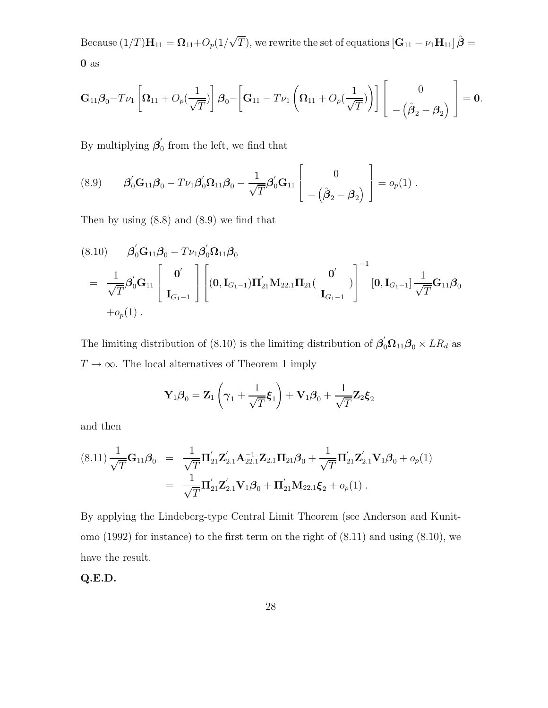Because  $(1/T)\mathbf{H}_{11} = \mathbf{\Omega}_{11} + O_p(1/\sqrt{T})$ , we rewrite the set of equations  $[\mathbf{G}_{11} - \nu_1 \mathbf{H}_{11}] \hat{\boldsymbol{\beta}} =$ **0** as

$$
\mathbf{G}_{11}\boldsymbol{\beta}_0 - T\nu_1 \left[\boldsymbol{\Omega}_{11} + O_p\left(\frac{1}{\sqrt{T}}\right)\right]\boldsymbol{\beta}_0 - \left[\mathbf{G}_{11} - T\nu_1\left(\boldsymbol{\Omega}_{11} + O_p\left(\frac{1}{\sqrt{T}}\right)\right)\right] \left[\begin{array}{c} 0 \\ -\left(\hat{\boldsymbol{\beta}}_2 - \boldsymbol{\beta}_2\right) \end{array}\right] = \mathbf{0}.
$$

By multiplying  $\beta_0$  from the left, we find that

(8.9) 
$$
\beta'_0 G_{11} \beta_0 - T \nu_1 \beta'_0 \Omega_{11} \beta_0 - \frac{1}{\sqrt{T}} \beta'_0 G_{11} \begin{bmatrix} 0 \\ -(\hat{\beta}_2 - \beta_2) \end{bmatrix} = o_p(1) .
$$

Then by using (8.8) and (8.9) we find that

$$
(8.10) \qquad \beta_0' \mathbf{G}_{11} \beta_0 - T \nu_1 \beta_0' \mathbf{\Omega}_{11} \beta_0
$$
  
=  $\frac{1}{\sqrt{T}} \beta_0' \mathbf{G}_{11} \begin{bmatrix} \mathbf{0}' \\ \mathbf{I}_{G_1-1} \end{bmatrix} \begin{bmatrix} \mathbf{0}' \\ (\mathbf{0}, \mathbf{I}_{G_1-1}) \mathbf{\Pi}_{21}' \mathbf{M}_{22.1} \mathbf{\Pi}_{21} \end{bmatrix} \begin{bmatrix} \mathbf{0}' \\ \mathbf{I}_{G_1-1} \end{bmatrix}^{-1} \begin{bmatrix} \mathbf{0}, \mathbf{I}_{G_1-1} \end{bmatrix} \frac{1}{\sqrt{T}} \mathbf{G}_{11} \beta_0$   
+ $o_p(1)$ .

The limiting distribution of (8.10) is the limiting distribution of  $\beta'_{0} \Omega_{11} \beta_{0} \times LR_{d}$  as  $T \to \infty$ . The local alternatives of Theorem 1 imply

$$
\mathbf{Y}_1 \boldsymbol{\beta}_0 = \mathbf{Z}_1 \left( \boldsymbol{\gamma}_1 + \frac{1}{\sqrt{T}} \boldsymbol{\xi}_1 \right) + \mathbf{V}_1 \boldsymbol{\beta}_0 + \frac{1}{\sqrt{T}} \mathbf{Z}_2 \boldsymbol{\xi}_2
$$

and then

$$
(8.11) \frac{1}{\sqrt{T}} \mathbf{G}_{11} \boldsymbol{\beta}_0 = \frac{1}{\sqrt{T}} \mathbf{\Pi}_{21}^{'} \mathbf{Z}_{2.1}^{'} \mathbf{A}_{22.1}^{-1} \mathbf{Z}_{2.1} \mathbf{\Pi}_{21} \boldsymbol{\beta}_0 + \frac{1}{\sqrt{T}} \mathbf{\Pi}_{21}^{'} \mathbf{Z}_{2.1}^{'} \mathbf{V}_1 \boldsymbol{\beta}_0 + o_p(1)
$$
  

$$
= \frac{1}{\sqrt{T}} \mathbf{\Pi}_{21}^{'} \mathbf{Z}_{2.1}^{'} \mathbf{V}_1 \boldsymbol{\beta}_0 + \mathbf{\Pi}_{21}^{'} \mathbf{M}_{22.1} \boldsymbol{\xi}_2 + o_p(1) .
$$

By applying the Lindeberg-type Central Limit Theorem (see Anderson and Kunitomo (1992) for instance) to the first term on the right of (8.11) and using (8.10), we have the result.

**Q.E.D.**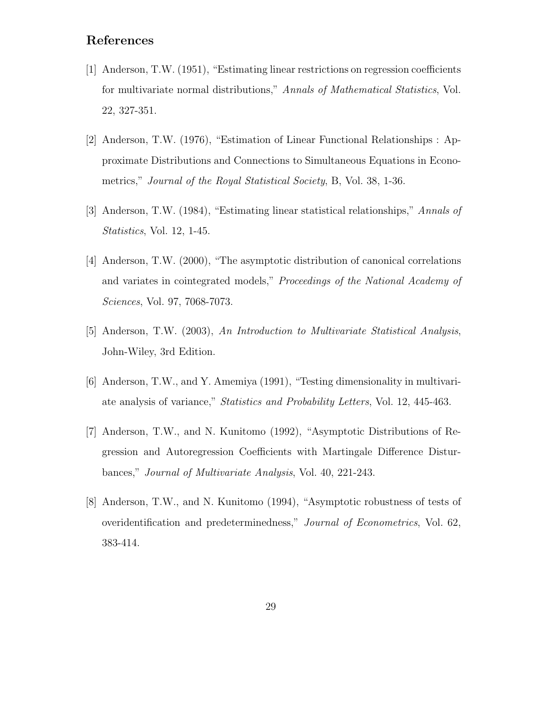# **References**

- [1] Anderson, T.W. (1951), "Estimating linear restrictions on regression coefficients for multivariate normal distributions," *Annals of Mathematical Statistics*, Vol. 22, 327-351.
- [2] Anderson, T.W. (1976), "Estimation of Linear Functional Relationships : Approximate Distributions and Connections to Simultaneous Equations in Econometrics," *Journal of the Royal Statistical Society*, B, Vol. 38, 1-36.
- [3] Anderson, T.W. (1984), "Estimating linear statistical relationships," *Annals of Statistics*, Vol. 12, 1-45.
- [4] Anderson, T.W. (2000), "The asymptotic distribution of canonical correlations and variates in cointegrated models," *Proceedings of the National Academy of Sciences*, Vol. 97, 7068-7073.
- [5] Anderson, T.W. (2003), *An Introduction to Multivariate Statistical Analysis*, John-Wiley, 3rd Edition.
- [6] Anderson, T.W., and Y. Amemiya (1991), "Testing dimensionality in multivariate analysis of variance," *Statistics and Probability Letters*, Vol. 12, 445-463.
- [7] Anderson, T.W., and N. Kunitomo (1992), "Asymptotic Distributions of Regression and Autoregression Coefficients with Martingale Difference Disturbances," *Journal of Multivariate Analysis*, Vol. 40, 221-243.
- [8] Anderson, T.W., and N. Kunitomo (1994), "Asymptotic robustness of tests of overidentification and predeterminedness," *Journal of Econometrics*, Vol. 62, 383-414.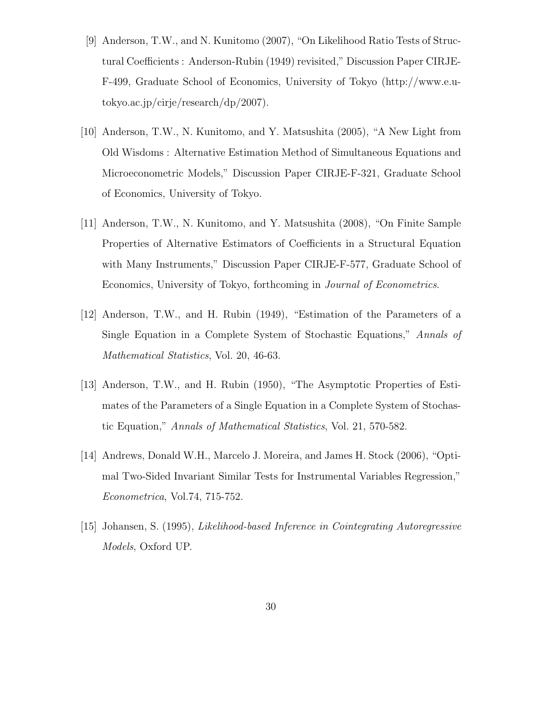- [9] Anderson, T.W., and N. Kunitomo (2007), "On Likelihood Ratio Tests of Structural Coefficients : Anderson-Rubin (1949) revisited," Discussion Paper CIRJE-F-499, Graduate School of Economics, University of Tokyo (http://www.e.utokyo.ac.jp/cirje/research/dp/2007).
- [10] Anderson, T.W., N. Kunitomo, and Y. Matsushita (2005), "A New Light from Old Wisdoms : Alternative Estimation Method of Simultaneous Equations and Microeconometric Models," Discussion Paper CIRJE-F-321, Graduate School of Economics, University of Tokyo.
- [11] Anderson, T.W., N. Kunitomo, and Y. Matsushita (2008), "On Finite Sample Properties of Alternative Estimators of Coefficients in a Structural Equation with Many Instruments," Discussion Paper CIRJE-F-577, Graduate School of Economics, University of Tokyo, forthcoming in *Journal of Econometrics*.
- [12] Anderson, T.W., and H. Rubin (1949), "Estimation of the Parameters of a Single Equation in a Complete System of Stochastic Equations," *Annals of Mathematical Statistics*, Vol. 20, 46-63.
- [13] Anderson, T.W., and H. Rubin (1950), "The Asymptotic Properties of Estimates of the Parameters of a Single Equation in a Complete System of Stochastic Equation," *Annals of Mathematical Statistics*, Vol. 21, 570-582.
- [14] Andrews, Donald W.H., Marcelo J. Moreira, and James H. Stock (2006), "Optimal Two-Sided Invariant Similar Tests for Instrumental Variables Regression," *Econometrica*, Vol.74, 715-752.
- [15] Johansen, S. (1995), *Likelihood-based Inference in Cointegrating Autoregressive Models*, Oxford UP.